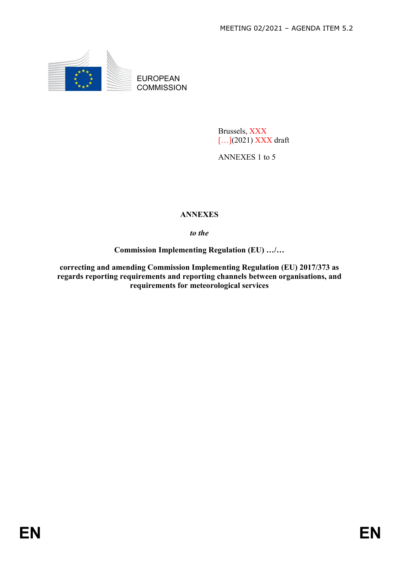

EUROPEAN **COMMISSION** 

> Brussels, XXX [...](2021) XXX draft

ANNEXES 1 to 5

# **ANNEXES**

*to the* 

**Commission Implementing Regulation (EU) …/…** 

**correcting and amending Commission Implementing Regulation (EU) 2017/373 as regards reporting requirements and reporting channels between organisations, and requirements for meteorological services**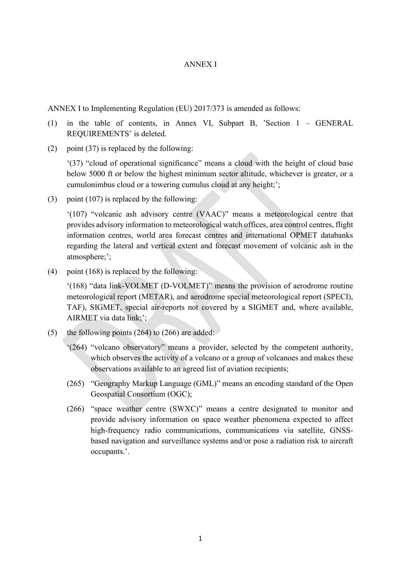## ANNEX I

ANNEX I to Implementing Regulation (EU) 2017/373 is amended as follows:

- (1) in the table of contents, in Annex VI, Subpart B, 'Section 1 GENERAL REQUIREMENTS' is deleted.
- (2) point (37) is replaced by the following:

'(37) "cloud of operational significance" means a cloud with the height of cloud base below 5000 ft or below the highest minimum sector altitude, whichever is greater, or a cumulonimbus cloud or a towering cumulus cloud at any height;';

(3) point (107) is replaced by the following:

'(107) "volcanic ash advisory centre (VAAC)" means a meteorological centre that provides advisory information to meteorological watch offices, area control centres, flight information centres, world area forecast centres and international OPMET databanks regarding the lateral and vertical extent and forecast movement of volcanic ash in the atmosphere;';

(4) point (168) is replaced by the following:

'(168) "data link-VOLMET (D-VOLMET)" means the provision of aerodrome routine meteorological report (METAR), and aerodrome special meteorological report (SPECI), TAF), SIGMET, special air-reports not covered by a SIGMET and, where available, AIRMET via data link;';

- (5) the following points  $(264)$  to  $(266)$  are added:
	- '(264) "volcano observatory" means a provider, selected by the competent authority, which observes the activity of a volcano or a group of volcanoes and makes these observations available to an agreed list of aviation recipients;
	- (265) "Geography Markup Language (GML)" means an encoding standard of the Open Geospatial Consortium (OGC);
	- (266) "space weather centre (SWXC)" means a centre designated to monitor and provide advisory information on space weather phenomena expected to affect high-frequency radio communications, communications via satellite, GNSSbased navigation and surveillance systems and/or pose a radiation risk to aircraft occupants.'.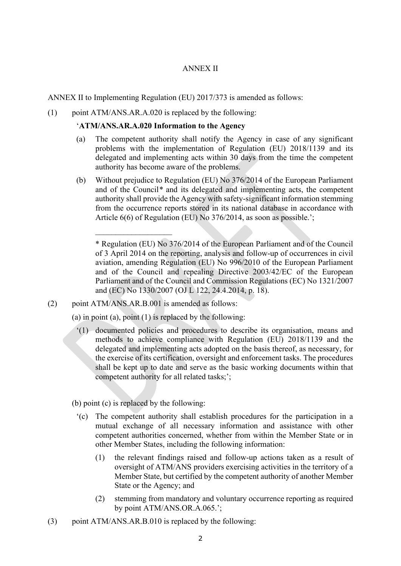### ANNEX II

ANNEX II to Implementing Regulation (EU) 2017/373 is amended as follows:

(1) point ATM/ANS.AR.A.020 is replaced by the following:

#### '**ATM/ANS.AR.A.020 Information to the Agency**

- (a) The competent authority shall notify the Agency in case of any significant problems with the implementation of Regulation (EU) 2018/1139 and its delegated and implementing acts within 30 days from the time the competent authority has become aware of the problems.
- (b) Without prejudice to Regulation (EU) No 376/2014 of the European Parliament and of the Council*\** and its delegated and implementing acts, the competent authority shall provide the Agency with safety-significant information stemming from the occurrence reports stored in its national database in accordance with Article 6(6) of Regulation (EU) No 376/2014, as soon as possible.';

(2) point ATM/ANS.AR.B.001 is amended as follows:

 $\mathcal{L}$  , we have the set of the set of the set of the set of the set of the set of the set of the set of the set of the set of the set of the set of the set of the set of the set of the set of the set of the set of the

(a) in point (a), point  $(1)$  is replaced by the following:

- '(1) documented policies and procedures to describe its organisation, means and methods to achieve compliance with Regulation (EU) 2018/1139 and the delegated and implementing acts adopted on the basis thereof, as necessary, for the exercise of its certification, oversight and enforcement tasks. The procedures shall be kept up to date and serve as the basic working documents within that competent authority for all related tasks;';
- (b) point (c) is replaced by the following:
	- '(c) The competent authority shall establish procedures for the participation in a mutual exchange of all necessary information and assistance with other competent authorities concerned, whether from within the Member State or in other Member States, including the following information:
		- (1) the relevant findings raised and follow-up actions taken as a result of oversight of ATM/ANS providers exercising activities in the territory of a Member State, but certified by the competent authority of another Member State or the Agency; and
		- (2) stemming from mandatory and voluntary occurrence reporting as required by point ATM/ANS.OR.A.065.';
- (3) point ATM/ANS.AR.B.010 is replaced by the following:

<sup>\*</sup> Regulation (EU) No 376/2014 of the European Parliament and of the Council of 3 April 2014 on the reporting, analysis and follow-up of occurrences in civil aviation, amending Regulation (EU) No 996/2010 of the European Parliament and of the Council and repealing Directive 2003/42/EC of the European Parliament and of the Council and Commission Regulations (EC) No 1321/2007 and (EC) No 1330/2007 (OJ L 122, 24.4.2014, p. 18).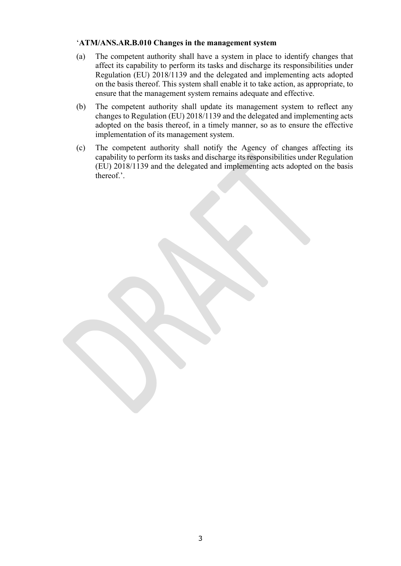## '**ATM/ANS.AR.B.010 Changes in the management system**

- (a) The competent authority shall have a system in place to identify changes that affect its capability to perform its tasks and discharge its responsibilities under Regulation (EU) 2018/1139 and the delegated and implementing acts adopted on the basis thereof. This system shall enable it to take action, as appropriate, to ensure that the management system remains adequate and effective.
- (b) The competent authority shall update its management system to reflect any changes to Regulation (EU) 2018/1139 and the delegated and implementing acts adopted on the basis thereof, in a timely manner, so as to ensure the effective implementation of its management system.
- (c) The competent authority shall notify the Agency of changes affecting its capability to perform its tasks and discharge its responsibilities under Regulation (EU) 2018/1139 and the delegated and implementing acts adopted on the basis thereof.'.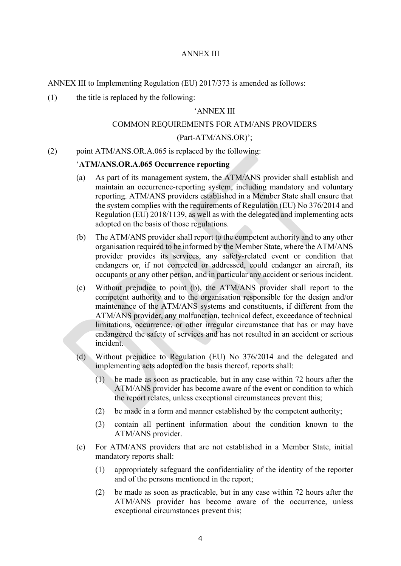## ANNEX III

ANNEX III to Implementing Regulation (EU) 2017/373 is amended as follows:

(1) the title is replaced by the following:

#### 'ANNEX III

#### COMMON REQUIREMENTS FOR ATM/ANS PROVIDERS

#### (Part-ATM/ANS.OR)';

(2) point ATM/ANS.OR.A.065 is replaced by the following:

#### '**ATM/ANS.OR.A.065 Occurrence reporting**

- (a) As part of its management system, the ATM/ANS provider shall establish and maintain an occurrence-reporting system, including mandatory and voluntary reporting. ATM/ANS providers established in a Member State shall ensure that the system complies with the requirements of Regulation (EU) No 376/2014 and Regulation (EU) 2018/1139, as well as with the delegated and implementing acts adopted on the basis of those regulations.
- (b) The ATM/ANS provider shall report to the competent authority and to any other organisation required to be informed by the Member State, where the ATM/ANS provider provides its services, any safety-related event or condition that endangers or, if not corrected or addressed, could endanger an aircraft, its occupants or any other person, and in particular any accident or serious incident.
- (c) Without prejudice to point (b), the ATM/ANS provider shall report to the competent authority and to the organisation responsible for the design and/or maintenance of the ATM/ANS systems and constituents, if different from the ATM/ANS provider, any malfunction, technical defect, exceedance of technical limitations, occurrence, or other irregular circumstance that has or may have endangered the safety of services and has not resulted in an accident or serious incident.
- (d) Without prejudice to Regulation (EU) No 376/2014 and the delegated and implementing acts adopted on the basis thereof, reports shall:
	- (1) be made as soon as practicable, but in any case within 72 hours after the ATM/ANS provider has become aware of the event or condition to which the report relates, unless exceptional circumstances prevent this;
	- (2) be made in a form and manner established by the competent authority;
	- (3) contain all pertinent information about the condition known to the ATM/ANS provider.
- (e) For ATM/ANS providers that are not established in a Member State, initial mandatory reports shall:
	- (1) appropriately safeguard the confidentiality of the identity of the reporter and of the persons mentioned in the report;
	- (2) be made as soon as practicable, but in any case within 72 hours after the ATM/ANS provider has become aware of the occurrence, unless exceptional circumstances prevent this;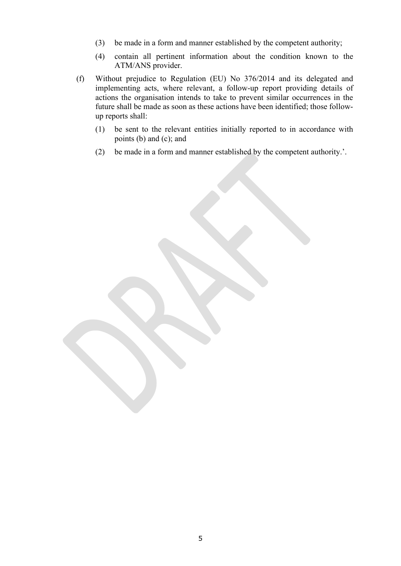- (3) be made in a form and manner established by the competent authority;
- (4) contain all pertinent information about the condition known to the ATM/ANS provider.
- (f) Without prejudice to Regulation (EU) No 376/2014 and its delegated and implementing acts, where relevant, a follow-up report providing details of actions the organisation intends to take to prevent similar occurrences in the future shall be made as soon as these actions have been identified; those followup reports shall:
	- (1) be sent to the relevant entities initially reported to in accordance with points (b) and (c); and
	- (2) be made in a form and manner established by the competent authority.'.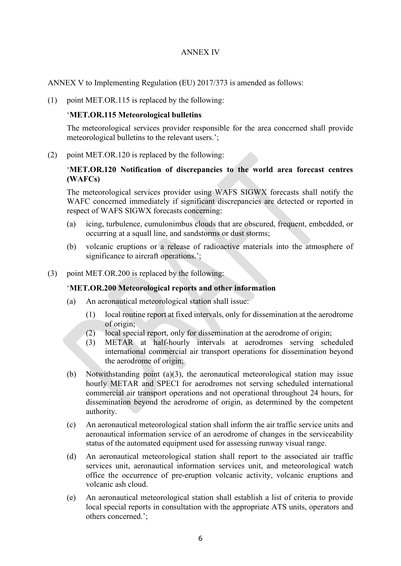## ANNEX IV

ANNEX V to Implementing Regulation (EU) 2017/373 is amended as follows:

(1) point MET.OR.115 is replaced by the following:

#### '**MET.OR.115 Meteorological bulletins**

The meteorological services provider responsible for the area concerned shall provide meteorological bulletins to the relevant users.';

(2) point MET.OR.120 is replaced by the following:

## '**MET.OR.120 Notification of discrepancies to the world area forecast centres (WAFCs)**

The meteorological services provider using WAFS SIGWX forecasts shall notify the WAFC concerned immediately if significant discrepancies are detected or reported in respect of WAFS SIGWX forecasts concerning:

- (a) icing, turbulence, cumulonimbus clouds that are obscured, frequent, embedded, or occurring at a squall line, and sandstorms or dust storms;
- (b) volcanic eruptions or a release of radioactive materials into the atmosphere of significance to aircraft operations.';
- (3) point MET.OR.200 is replaced by the following:

### '**MET.OR.200 Meteorological reports and other information**

- (a) An aeronautical meteorological station shall issue:
	- (1) local routine report at fixed intervals, only for dissemination at the aerodrome of origin;
	- (2) local special report, only for dissemination at the aerodrome of origin;
	- (3) METAR at half-hourly intervals at aerodromes serving scheduled international commercial air transport operations for dissemination beyond the aerodrome of origin;
- (b) Notwithstanding point (a)(3), the aeronautical meteorological station may issue hourly METAR and SPECI for aerodromes not serving scheduled international commercial air transport operations and not operational throughout 24 hours, for dissemination beyond the aerodrome of origin, as determined by the competent authority.
- (c) An aeronautical meteorological station shall inform the air traffic service units and aeronautical information service of an aerodrome of changes in the serviceability status of the automated equipment used for assessing runway visual range.
- (d) An aeronautical meteorological station shall report to the associated air traffic services unit, aeronautical information services unit, and meteorological watch office the occurrence of pre-eruption volcanic activity, volcanic eruptions and volcanic ash cloud.
- (e) An aeronautical meteorological station shall establish a list of criteria to provide local special reports in consultation with the appropriate ATS units, operators and others concerned.';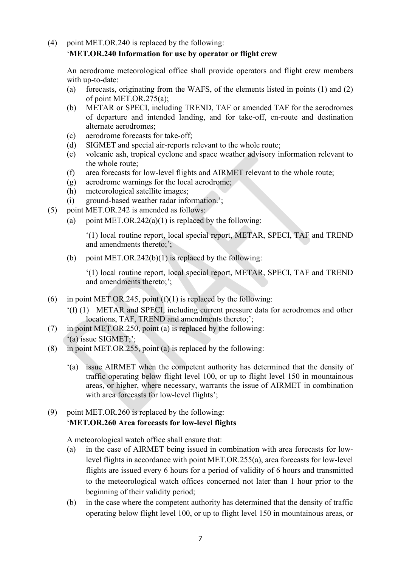# (4) point MET.OR.240 is replaced by the following: '**MET.OR.240 Information for use by operator or flight crew**

An aerodrome meteorological office shall provide operators and flight crew members with up-to-date:

- (a) forecasts, originating from the WAFS, of the elements listed in points (1) and (2) of point MET.OR.275(a);
- (b) METAR or SPECI, including TREND, TAF or amended TAF for the aerodromes of departure and intended landing, and for take-off, en-route and destination alternate aerodromes;
- (c) aerodrome forecasts for take-off;
- (d) SIGMET and special air-reports relevant to the whole route;
- (e) volcanic ash, tropical cyclone and space weather advisory information relevant to the whole route;
- (f) area forecasts for low-level flights and AIRMET relevant to the whole route;
- (g) aerodrome warnings for the local aerodrome;
- (h) meteorological satellite images;
- (i) ground-based weather radar information.';
- (5) point MET.OR.242 is amended as follows:
	- (a) point MET.OR.242(a)(1) is replaced by the following:

'(1) local routine report, local special report, METAR, SPECI, TAF and TREND and amendments thereto;';

(b) point MET.OR.242(b)(1) is replaced by the following:

'(1) local routine report, local special report, METAR, SPECI, TAF and TREND and amendments thereto;';

- (6) in point MET.OR.245, point  $(f)(1)$  is replaced by the following:
	- '(f) (1) METAR and SPECI, including current pressure data for aerodromes and other locations, TAF, TREND and amendments thereto;';
- (7) in point MET.OR.250, point (a) is replaced by the following: '(a) issue SIGMET;';
- (8) in point MET.OR.255, point (a) is replaced by the following:
	- '(a) issue AIRMET when the competent authority has determined that the density of traffic operating below flight level 100, or up to flight level 150 in mountainous areas, or higher, where necessary, warrants the issue of AIRMET in combination with area forecasts for low-level flights';
- (9) point MET.OR.260 is replaced by the following: '**MET.OR.260 Area forecasts for low-level flights**

A meteorological watch office shall ensure that:

- (a) in the case of AIRMET being issued in combination with area forecasts for lowlevel flights in accordance with point MET.OR.255(a), area forecasts for low-level flights are issued every 6 hours for a period of validity of 6 hours and transmitted to the meteorological watch offices concerned not later than 1 hour prior to the beginning of their validity period;
- (b) in the case where the competent authority has determined that the density of traffic operating below flight level 100, or up to flight level 150 in mountainous areas, or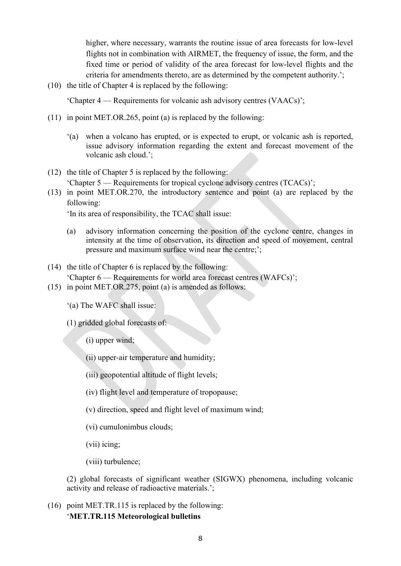higher, where necessary, warrants the routine issue of area forecasts for low-level flights not in combination with AIRMET, the frequency of issue, the form, and the fixed time or period of validity of the area forecast for low-level flights and the criteria for amendments thereto, are as determined by the competent authority.';

(10) the title of Chapter 4 is replaced by the following:

'Chapter 4 — Requirements for volcanic ash advisory centres (VAACs)';

- (11) in point MET.OR.265, point (a) is replaced by the following:
	- '(a) when a volcano has erupted, or is expected to erupt, or volcanic ash is reported, issue advisory information regarding the extent and forecast movement of the volcanic ash cloud.';
- (12) the title of Chapter 5 is replaced by the following: 'Chapter 5 — Requirements for tropical cyclone advisory centres (TCACs)';
- (13) in point MET.OR.270, the introductory sentence and point (a) are replaced by the following:

'In its area of responsibility, the TCAC shall issue:

- (a) advisory information concerning the position of the cyclone centre, changes in intensity at the time of observation, its direction and speed of movement, central pressure and maximum surface wind near the centre;';
- (14) the title of Chapter 6 is replaced by the following: 'Chapter 6 — Requirements for world area forecast centres (WAFCs)';
- (15) in point MET.OR.275, point (a) is amended as follows:
	- '(a) The WAFC shall issue:

(1) gridded global forecasts of:

- (i) upper wind;
- (ii) upper-air temperature and humidity;
- (iii) geopotential altitude of flight levels;
- (iv) flight level and temperature of tropopause;
- (v) direction, speed and flight level of maximum wind;
- (vi) cumulonimbus clouds;
- (vii) icing;
- (viii) turbulence;

(2) global forecasts of significant weather (SIGWX) phenomena, including volcanic activity and release of radioactive materials.';

(16) point MET.TR.115 is replaced by the following: '**MET.TR.115 Meteorological bulletins**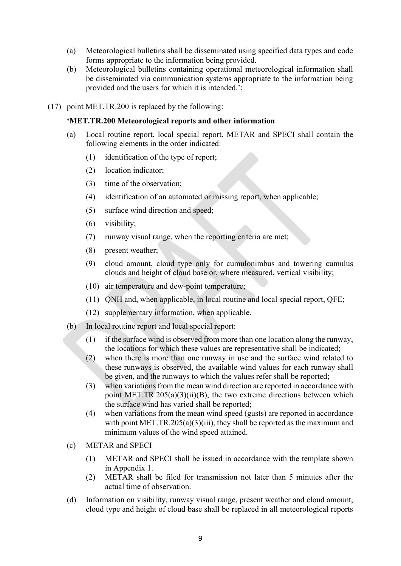- (a) Meteorological bulletins shall be disseminated using specified data types and code forms appropriate to the information being provided.
- (b) Meteorological bulletins containing operational meteorological information shall be disseminated via communication systems appropriate to the information being provided and the users for which it is intended.';
- (17) point MET.TR.200 is replaced by the following:

## **'MET.TR.200 Meteorological reports and other information**

- (a) Local routine report, local special report, METAR and SPECI shall contain the following elements in the order indicated:
	- (1) identification of the type of report;
	- (2) location indicator;
	- (3) time of the observation;
	- (4) identification of an automated or missing report, when applicable;
	- (5) surface wind direction and speed;
	- (6) visibility;
	- (7) runway visual range, when the reporting criteria are met;
	- (8) present weather;
	- (9) cloud amount, cloud type only for cumulonimbus and towering cumulus clouds and height of cloud base or, where measured, vertical visibility;
	- (10) air temperature and dew-point temperature;
	- (11) QNH and, when applicable, in local routine and local special report, QFE;
	- (12) supplementary information, when applicable.
- (b) In local routine report and local special report:
	- (1) if the surface wind is observed from more than one location along the runway, the locations for which these values are representative shall be indicated;
	- (2) when there is more than one runway in use and the surface wind related to these runways is observed, the available wind values for each runway shall be given, and the runways to which the values refer shall be reported;
	- (3) when variations from the mean wind direction are reported in accordance with point MET.TR.205(a)(3)(ii)(B), the two extreme directions between which the surface wind has varied shall be reported;
	- (4) when variations from the mean wind speed (gusts) are reported in accordance with point MET.TR.205(a)(3)(iii), they shall be reported as the maximum and minimum values of the wind speed attained.
- (c) METAR and SPECI
	- (1) METAR and SPECI shall be issued in accordance with the template shown in Appendix 1.
	- (2) METAR shall be filed for transmission not later than 5 minutes after the actual time of observation.
- (d) Information on visibility, runway visual range, present weather and cloud amount, cloud type and height of cloud base shall be replaced in all meteorological reports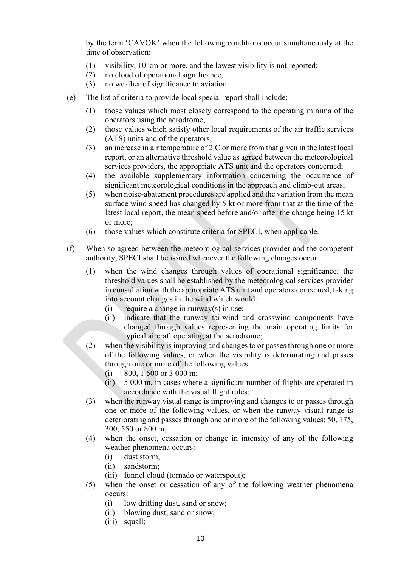by the term 'CAVOK' when the following conditions occur simultaneously at the time of observation:

- (1) visibility, 10 km or more, and the lowest visibility is not reported;
- (2) no cloud of operational significance;
- (3) no weather of significance to aviation.
- (e) The list of criteria to provide local special report shall include:
	- (1) those values which most closely correspond to the operating minima of the operators using the aerodrome;
	- (2) those values which satisfy other local requirements of the air traffic services (ATS) units and of the operators;
	- (3) an increase in air temperature of 2 C or more from that given in the latest local report, or an alternative threshold value as agreed between the meteorological services providers, the appropriate ATS unit and the operators concerned;
	- (4) the available supplementary information concerning the occurrence of significant meteorological conditions in the approach and climb-out areas;
	- (5) when noise-abatement procedures are applied and the variation from the mean surface wind speed has changed by 5 kt or more from that at the time of the latest local report, the mean speed before and/or after the change being 15 kt or more;
	- (6) those values which constitute criteria for SPECI, when applicable.
- (f) When so agreed between the meteorological services provider and the competent authority, SPECI shall be issued whenever the following changes occur:
	- (1) when the wind changes through values of operational significance; the threshold values shall be established by the meteorological services provider in consultation with the appropriate ATS unit and operators concerned, taking into account changes in the wind which would:
		- (i) require a change in runway(s) in use;
		- (ii) indicate that the runway tailwind and crosswind components have changed through values representing the main operating limits for typical aircraft operating at the aerodrome;
	- (2) when the visibility is improving and changes to or passes through one or more of the following values, or when the visibility is deteriorating and passes through one or more of the following values:
		- (i) 800, 1 500 or 3 000 m;
		- (ii) 5 000 m, in cases where a significant number of flights are operated in accordance with the visual flight rules;
	- (3) when the runway visual range is improving and changes to or passes through one or more of the following values, or when the runway visual range is deteriorating and passes through one or more of the following values: 50, 175, 300, 550 or 800 m;
	- (4) when the onset, cessation or change in intensity of any of the following weather phenomena occurs:
		- (i) dust storm;
		- (ii) sandstorm;
		- (iii) funnel cloud (tornado or waterspout);
	- (5) when the onset or cessation of any of the following weather phenomena occurs:
		- (i) low drifting dust, sand or snow;
		- (ii) blowing dust, sand or snow;
		- (iii) squall;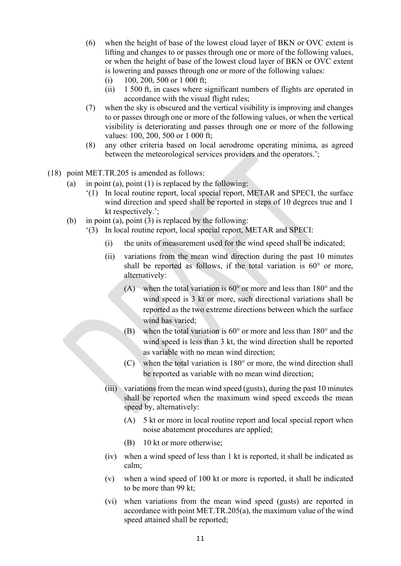- (6) when the height of base of the lowest cloud layer of BKN or OVC extent is lifting and changes to or passes through one or more of the following values, or when the height of base of the lowest cloud layer of BKN or OVC extent is lowering and passes through one or more of the following values:
	- (i) 100, 200, 500 or 1 000 ft;
	- (ii) 1 500 ft, in cases where significant numbers of flights are operated in accordance with the visual flight rules;
- (7) when the sky is obscured and the vertical visibility is improving and changes to or passes through one or more of the following values, or when the vertical visibility is deteriorating and passes through one or more of the following values: 100, 200, 500 or 1 000 ft;
- (8) any other criteria based on local aerodrome operating minima, as agreed between the meteorological services providers and the operators.';
- (18) point MET.TR.205 is amended as follows:
	- (a) in point (a), point  $(1)$  is replaced by the following:
		- '(1) In local routine report, local special report, METAR and SPECI, the surface wind direction and speed shall be reported in steps of 10 degrees true and 1 kt respectively.';
	- (b) in point (a), point (3) is replaced by the following:
		- '(3) In local routine report, local special report, METAR and SPECI:
			- (i) the units of measurement used for the wind speed shall be indicated;
			- (ii) variations from the mean wind direction during the past 10 minutes shall be reported as follows, if the total variation is 60° or more, alternatively:
				- (A) when the total variation is  $60^{\circ}$  or more and less than  $180^{\circ}$  and the wind speed is 3 kt or more, such directional variations shall be reported as the two extreme directions between which the surface wind has varied;
				- (B) when the total variation is  $60^{\circ}$  or more and less than  $180^{\circ}$  and the wind speed is less than 3 kt, the wind direction shall be reported as variable with no mean wind direction;
				- $(C)$  when the total variation is 180 $^{\circ}$  or more, the wind direction shall be reported as variable with no mean wind direction;
			- (iii) variations from the mean wind speed (gusts), during the past 10 minutes shall be reported when the maximum wind speed exceeds the mean speed by, alternatively:
				- (A) 5 kt or more in local routine report and local special report when noise abatement procedures are applied;
				- (B) 10 kt or more otherwise;
			- (iv) when a wind speed of less than 1 kt is reported, it shall be indicated as calm;
			- (v) when a wind speed of 100 kt or more is reported, it shall be indicated to be more than 99 kt;
			- (vi) when variations from the mean wind speed (gusts) are reported in accordance with point MET.TR.205(a), the maximum value of the wind speed attained shall be reported;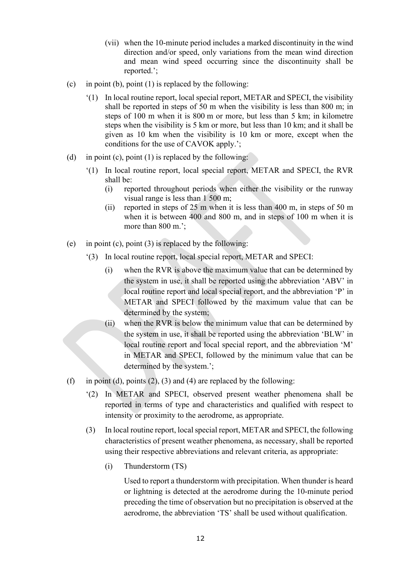- (vii) when the 10-minute period includes a marked discontinuity in the wind direction and/or speed, only variations from the mean wind direction and mean wind speed occurring since the discontinuity shall be reported.';
- (c) in point (b), point  $(1)$  is replaced by the following:
	- '(1) In local routine report, local special report, METAR and SPECI, the visibility shall be reported in steps of 50 m when the visibility is less than 800 m; in steps of 100 m when it is 800 m or more, but less than 5 km; in kilometre steps when the visibility is 5 km or more, but less than 10 km; and it shall be given as 10 km when the visibility is 10 km or more, except when the conditions for the use of CAVOK apply.';
- (d) in point (c), point (1) is replaced by the following:
	- '(1) In local routine report, local special report, METAR and SPECI, the RVR shall be:
		- (i) reported throughout periods when either the visibility or the runway visual range is less than 1 500 m;
		- (ii) reported in steps of 25 m when it is less than 400 m, in steps of 50 m when it is between 400 and 800 m, and in steps of 100 m when it is more than 800 m.';
- (e) in point (c), point  $(3)$  is replaced by the following:
	- '(3) In local routine report, local special report, METAR and SPECI:
		- (i) when the RVR is above the maximum value that can be determined by the system in use, it shall be reported using the abbreviation 'ABV' in local routine report and local special report, and the abbreviation 'P' in METAR and SPECI followed by the maximum value that can be determined by the system;
		- (ii) when the RVR is below the minimum value that can be determined by the system in use, it shall be reported using the abbreviation 'BLW' in local routine report and local special report, and the abbreviation 'M' in METAR and SPECI, followed by the minimum value that can be determined by the system.';
- (f) in point (d), points  $(2)$ ,  $(3)$  and  $(4)$  are replaced by the following:
	- '(2) In METAR and SPECI, observed present weather phenomena shall be reported in terms of type and characteristics and qualified with respect to intensity or proximity to the aerodrome, as appropriate.
	- (3) In local routine report, local special report, METAR and SPECI, the following characteristics of present weather phenomena, as necessary, shall be reported using their respective abbreviations and relevant criteria, as appropriate:
		- (i) Thunderstorm (TS)

Used to report a thunderstorm with precipitation. When thunder is heard or lightning is detected at the aerodrome during the 10-minute period preceding the time of observation but no precipitation is observed at the aerodrome, the abbreviation 'TS' shall be used without qualification.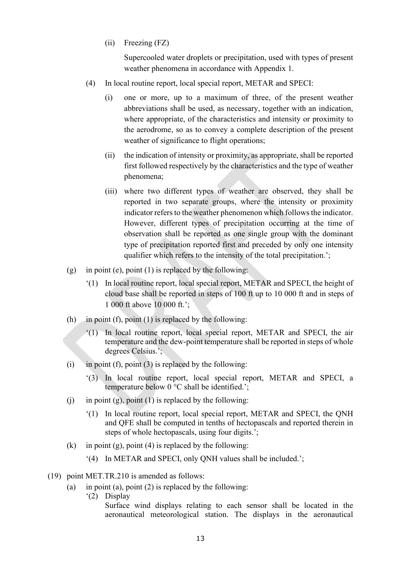(ii) Freezing (FZ)

Supercooled water droplets or precipitation, used with types of present weather phenomena in accordance with Appendix 1.

- (4) In local routine report, local special report, METAR and SPECI:
	- (i) one or more, up to a maximum of three, of the present weather abbreviations shall be used, as necessary, together with an indication, where appropriate, of the characteristics and intensity or proximity to the aerodrome, so as to convey a complete description of the present weather of significance to flight operations;
	- (ii) the indication of intensity or proximity, as appropriate, shall be reported first followed respectively by the characteristics and the type of weather phenomena;
	- (iii) where two different types of weather are observed, they shall be reported in two separate groups, where the intensity or proximity indicator refers to the weather phenomenon which follows the indicator. However, different types of precipitation occurring at the time of observation shall be reported as one single group with the dominant type of precipitation reported first and preceded by only one intensity qualifier which refers to the intensity of the total precipitation.';
- (g) in point (e), point  $(1)$  is replaced by the following:
	- '(1) In local routine report, local special report, METAR and SPECI, the height of cloud base shall be reported in steps of 100 ft up to 10 000 ft and in steps of 1 000 ft above 10 000 ft.';
- (h) in point (f), point (1) is replaced by the following:
	- '(1) In local routine report, local special report, METAR and SPECI, the air temperature and the dew-point temperature shall be reported in steps of whole degrees Celsius.';
- (i) in point (f), point (3) is replaced by the following:
	- '(3) In local routine report, local special report, METAR and SPECI, a temperature below 0 °C shall be identified.';
- (i) in point (g), point (1) is replaced by the following:
	- '(1) In local routine report, local special report, METAR and SPECI, the QNH and QFE shall be computed in tenths of hectopascals and reported therein in steps of whole hectopascals, using four digits.';
- (k) in point (g), point (4) is replaced by the following:
	- '(4) In METAR and SPECI, only QNH values shall be included.';
- (19) point MET.TR.210 is amended as follows:
	- (a) in point (a), point  $(2)$  is replaced by the following:
		- '(2) Display

Surface wind displays relating to each sensor shall be located in the aeronautical meteorological station. The displays in the aeronautical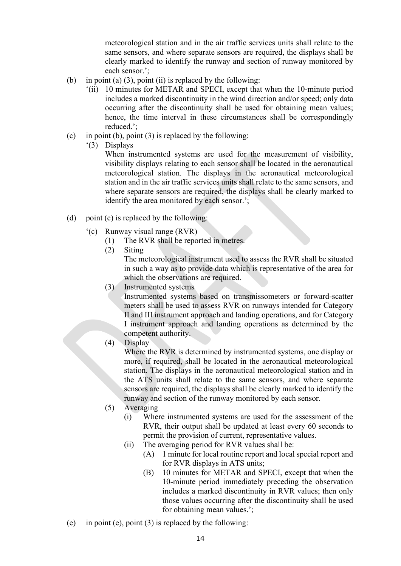meteorological station and in the air traffic services units shall relate to the same sensors, and where separate sensors are required, the displays shall be clearly marked to identify the runway and section of runway monitored by each sensor.';

- (b) in point (a) (3), point (ii) is replaced by the following:
	- '(ii) 10 minutes for METAR and SPECI, except that when the 10-minute period includes a marked discontinuity in the wind direction and/or speed; only data occurring after the discontinuity shall be used for obtaining mean values; hence, the time interval in these circumstances shall be correspondingly reduced.';
- (c) in point (b), point  $(3)$  is replaced by the following:
	- '(3) Displays

When instrumented systems are used for the measurement of visibility, visibility displays relating to each sensor shall be located in the aeronautical meteorological station. The displays in the aeronautical meteorological station and in the air traffic services units shall relate to the same sensors, and where separate sensors are required, the displays shall be clearly marked to identify the area monitored by each sensor.';

- (d) point (c) is replaced by the following:
	- '(c) Runway visual range (RVR)
		- (1) The RVR shall be reported in metres.
		- (2) Siting

The meteorological instrument used to assess the RVR shall be situated in such a way as to provide data which is representative of the area for which the observations are required.

(3) Instrumented systems

Instrumented systems based on transmissometers or forward-scatter meters shall be used to assess RVR on runways intended for Category II and III instrument approach and landing operations, and for Category I instrument approach and landing operations as determined by the competent authority.

(4) Display

Where the RVR is determined by instrumented systems, one display or more, if required, shall be located in the aeronautical meteorological station. The displays in the aeronautical meteorological station and in the ATS units shall relate to the same sensors, and where separate sensors are required, the displays shall be clearly marked to identify the runway and section of the runway monitored by each sensor.

- (5) Averaging
	- (i) Where instrumented systems are used for the assessment of the RVR, their output shall be updated at least every 60 seconds to permit the provision of current, representative values.
	- (ii) The averaging period for RVR values shall be:
		- (A) 1 minute for local routine report and local special report and for RVR displays in ATS units;
		- (B) 10 minutes for METAR and SPECI, except that when the 10-minute period immediately preceding the observation includes a marked discontinuity in RVR values; then only those values occurring after the discontinuity shall be used for obtaining mean values.';
- (e) in point (e), point  $(3)$  is replaced by the following: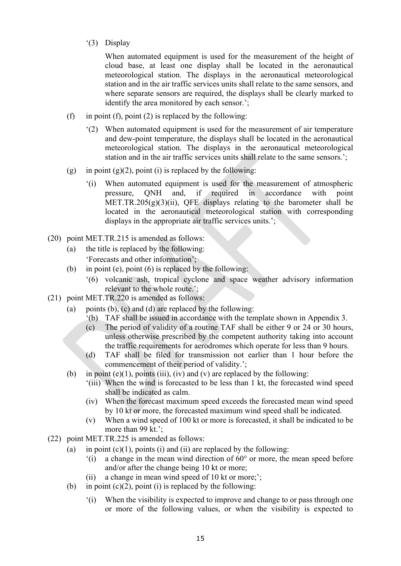'(3) Display

When automated equipment is used for the measurement of the height of cloud base, at least one display shall be located in the aeronautical meteorological station. The displays in the aeronautical meteorological station and in the air traffic services units shall relate to the same sensors, and where separate sensors are required, the displays shall be clearly marked to identify the area monitored by each sensor.';

- (f) in point (f), point (2) is replaced by the following:
	- '(2) When automated equipment is used for the measurement of air temperature and dew-point temperature, the displays shall be located in the aeronautical meteorological station. The displays in the aeronautical meteorological station and in the air traffic services units shall relate to the same sensors.';
- (g) in point (g)(2), point (i) is replaced by the following:
	- '(i) When automated equipment is used for the measurement of atmospheric pressure, QNH and, if required in accordance with point MET.TR.205 $(g)(3)(ii)$ , QFE displays relating to the barometer shall be located in the aeronautical meteorological station with corresponding displays in the appropriate air traffic services units.';
- (20) point MET.TR.215 is amended as follows:
	- (a) the title is replaced by the following: 'Forecasts and other information';
	- (b) in point (e), point  $(6)$  is replaced by the following:
		- '(6) volcanic ash, tropical cyclone and space weather advisory information relevant to the whole route.';
- (21) point MET.TR.220 is amended as follows:
	- (a) points (b), (c) and (d) are replaced by the following:
		- '(b) TAF shall be issued in accordance with the template shown in Appendix 3.
		- (c) The period of validity of a routine TAF shall be either 9 or 24 or 30 hours, unless otherwise prescribed by the competent authority taking into account the traffic requirements for aerodromes which operate for less than 9 hours.
		- (d) TAF shall be filed for transmission not earlier than 1 hour before the commencement of their period of validity.';
	- (b) in point (e)(1), points (iii), (iv) and (v) are replaced by the following:
		- '(iii) When the wind is forecasted to be less than 1 kt, the forecasted wind speed shall be indicated as calm.
		- (iv) When the forecast maximum speed exceeds the forecasted mean wind speed by 10 kt or more, the forecasted maximum wind speed shall be indicated.
		- (v) When a wind speed of 100 kt or more is forecasted, it shall be indicated to be more than 99 kt.';
- (22) point MET.TR.225 is amended as follows:
	- (a) in point  $(c)(1)$ , points (i) and (ii) are replaced by the following:
		- '(i) a change in the mean wind direction of 60° or more, the mean speed before and/or after the change being 10 kt or more;
		- (ii) a change in mean wind speed of 10 kt or more;';
	- (b) in point  $(c)(2)$ , point (i) is replaced by the following:
		- '(i) When the visibility is expected to improve and change to or pass through one or more of the following values, or when the visibility is expected to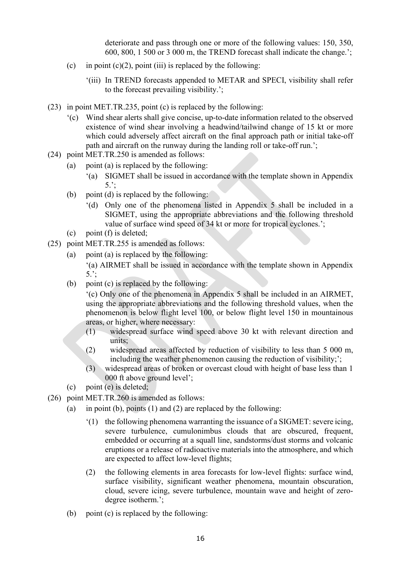deteriorate and pass through one or more of the following values: 150, 350, 600, 800, 1 500 or 3 000 m, the TREND forecast shall indicate the change.';

- (c) in point  $(c)(2)$ , point (iii) is replaced by the following:
	- '(iii) In TREND forecasts appended to METAR and SPECI, visibility shall refer to the forecast prevailing visibility.';
- (23) in point MET.TR.235, point (c) is replaced by the following:
	- '(c) Wind shear alerts shall give concise, up-to-date information related to the observed existence of wind shear involving a headwind/tailwind change of 15 kt or more which could adversely affect aircraft on the final approach path or initial take-off path and aircraft on the runway during the landing roll or take-off run.';
- (24) point MET.TR.250 is amended as follows:
	- (a) point (a) is replaced by the following:
		- '(a) SIGMET shall be issued in accordance with the template shown in Appendix 5.';
	- (b) point (d) is replaced by the following:
		- '(d) Only one of the phenomena listed in Appendix 5 shall be included in a SIGMET, using the appropriate abbreviations and the following threshold value of surface wind speed of 34 kt or more for tropical cyclones.';
	- (c) point (f) is deleted;
- (25) point MET.TR.255 is amended as follows:
	- (a) point (a) is replaced by the following: '(a) AIRMET shall be issued in accordance with the template shown in Appendix 5.';
	- (b) point (c) is replaced by the following:

'(c) Only one of the phenomena in Appendix 5 shall be included in an AIRMET, using the appropriate abbreviations and the following threshold values, when the phenomenon is below flight level 100, or below flight level 150 in mountainous areas, or higher, where necessary:

- (1) widespread surface wind speed above 30 kt with relevant direction and units;
- (2) widespread areas affected by reduction of visibility to less than 5 000 m, including the weather phenomenon causing the reduction of visibility;';
- (3) widespread areas of broken or overcast cloud with height of base less than 1 000 ft above ground level';
- (c) point (e) is deleted;
- (26) point MET.TR.260 is amended as follows:
	- (a) in point (b), points  $(1)$  and  $(2)$  are replaced by the following:
		- $(1)$  the following phenomena warranting the issuance of a SIGMET: severe icing, severe turbulence, cumulonimbus clouds that are obscured, frequent, embedded or occurring at a squall line, sandstorms/dust storms and volcanic eruptions or a release of radioactive materials into the atmosphere, and which are expected to affect low-level flights;
		- (2) the following elements in area forecasts for low-level flights: surface wind, surface visibility, significant weather phenomena, mountain obscuration, cloud, severe icing, severe turbulence, mountain wave and height of zerodegree isotherm.';
	- (b) point (c) is replaced by the following: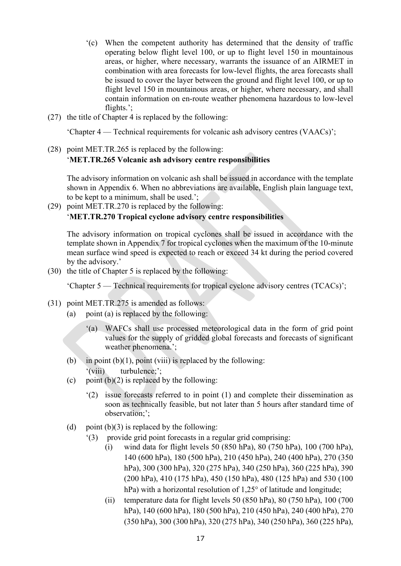- '(c) When the competent authority has determined that the density of traffic operating below flight level 100, or up to flight level 150 in mountainous areas, or higher, where necessary, warrants the issuance of an AIRMET in combination with area forecasts for low-level flights, the area forecasts shall be issued to cover the layer between the ground and flight level 100, or up to flight level 150 in mountainous areas, or higher, where necessary, and shall contain information on en-route weather phenomena hazardous to low-level flights.';
- (27) the title of Chapter 4 is replaced by the following:

'Chapter 4 — Technical requirements for volcanic ash advisory centres (VAACs)';

(28) point MET.TR.265 is replaced by the following: '**MET.TR.265 Volcanic ash advisory centre responsibilities** 

The advisory information on volcanic ash shall be issued in accordance with the template shown in Appendix 6. When no abbreviations are available, English plain language text, to be kept to a minimum, shall be used.';

(29) point MET.TR.270 is replaced by the following: '**MET.TR.270 Tropical cyclone advisory centre responsibilities**

The advisory information on tropical cyclones shall be issued in accordance with the template shown in Appendix 7 for tropical cyclones when the maximum of the 10-minute mean surface wind speed is expected to reach or exceed 34 kt during the period covered by the advisory.'

(30) the title of Chapter 5 is replaced by the following:

'Chapter 5 — Technical requirements for tropical cyclone advisory centres (TCACs)';

- (31) point MET.TR.275 is amended as follows:
	- (a) point (a) is replaced by the following:
		- '(a) WAFCs shall use processed meteorological data in the form of grid point values for the supply of gridded global forecasts and forecasts of significant weather phenomena.';
	- (b) in point  $(b)(1)$ , point (viii) is replaced by the following: '(viii) turbulence;';
	- (c) point  $(b)(2)$  is replaced by the following:
		- '(2) issue forecasts referred to in point (1) and complete their dissemination as soon as technically feasible, but not later than 5 hours after standard time of observation;';
	- (d) point  $(b)(3)$  is replaced by the following:
		- '(3) provide grid point forecasts in a regular grid comprising:
			- (i) wind data for flight levels 50 (850 hPa), 80 (750 hPa), 100 (700 hPa), 140 (600 hPa), 180 (500 hPa), 210 (450 hPa), 240 (400 hPa), 270 (350 hPa), 300 (300 hPa), 320 (275 hPa), 340 (250 hPa), 360 (225 hPa), 390 (200 hPa), 410 (175 hPa), 450 (150 hPa), 480 (125 hPa) and 530 (100 hPa) with a horizontal resolution of 1,25° of latitude and longitude;
			- (ii) temperature data for flight levels 50 (850 hPa), 80 (750 hPa), 100 (700 hPa), 140 (600 hPa), 180 (500 hPa), 210 (450 hPa), 240 (400 hPa), 270 (350 hPa), 300 (300 hPa), 320 (275 hPa), 340 (250 hPa), 360 (225 hPa),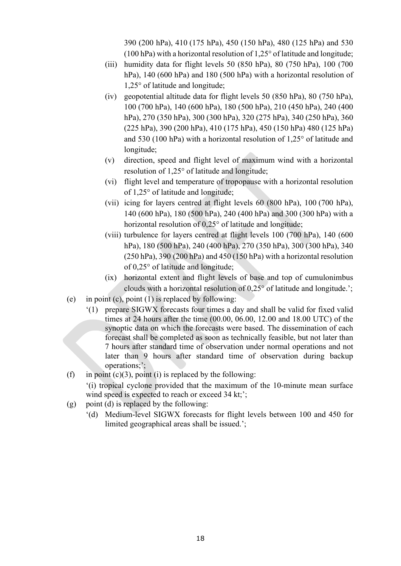390 (200 hPa), 410 (175 hPa), 450 (150 hPa), 480 (125 hPa) and 530 (100 hPa) with a horizontal resolution of 1,25° of latitude and longitude;

- (iii) humidity data for flight levels 50 (850 hPa), 80 (750 hPa), 100 (700 hPa), 140 (600 hPa) and 180 (500 hPa) with a horizontal resolution of 1,25° of latitude and longitude;
- (iv) geopotential altitude data for flight levels 50 (850 hPa), 80 (750 hPa), 100 (700 hPa), 140 (600 hPa), 180 (500 hPa), 210 (450 hPa), 240 (400 hPa), 270 (350 hPa), 300 (300 hPa), 320 (275 hPa), 340 (250 hPa), 360 (225 hPa), 390 (200 hPa), 410 (175 hPa), 450 (150 hPa) 480 (125 hPa) and 530 (100 hPa) with a horizontal resolution of 1,25° of latitude and longitude;
- (v) direction, speed and flight level of maximum wind with a horizontal resolution of 1,25° of latitude and longitude;
- (vi) flight level and temperature of tropopause with a horizontal resolution of 1,25° of latitude and longitude;
- (vii) icing for layers centred at flight levels 60 (800 hPa), 100 (700 hPa), 140 (600 hPa), 180 (500 hPa), 240 (400 hPa) and 300 (300 hPa) with a horizontal resolution of 0,25° of latitude and longitude;
- (viii) turbulence for layers centred at flight levels 100 (700 hPa), 140 (600 hPa), 180 (500 hPa), 240 (400 hPa), 270 (350 hPa), 300 (300 hPa), 340 (250 hPa), 390 (200 hPa) and 450 (150 hPa) with a horizontal resolution of 0,25° of latitude and longitude;
- (ix) horizontal extent and flight levels of base and top of cumulonimbus clouds with a horizontal resolution of 0,25° of latitude and longitude.';
- (e) in point (c), point  $(1)$  is replaced by following:
	- '(1) prepare SIGWX forecasts four times a day and shall be valid for fixed valid times at 24 hours after the time (00.00, 06.00, 12.00 and 18.00 UTC) of the synoptic data on which the forecasts were based. The dissemination of each forecast shall be completed as soon as technically feasible, but not later than 7 hours after standard time of observation under normal operations and not later than 9 hours after standard time of observation during backup operations;';
- (f) in point (c)(3), point (i) is replaced by the following:

'(i) tropical cyclone provided that the maximum of the 10-minute mean surface wind speed is expected to reach or exceed 34 kt;';

- (g) point (d) is replaced by the following:
	- '(d) Medium-level SIGWX forecasts for flight levels between 100 and 450 for limited geographical areas shall be issued.';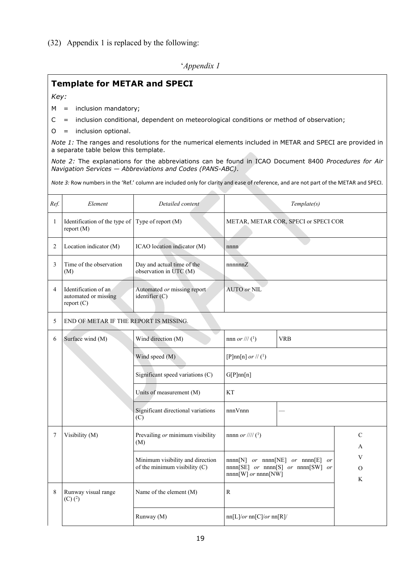(32) Appendix 1 is replaced by the following:

'*Appendix 1*

# **Template for METAR and SPECI**

*Key:*

- M = inclusion mandatory;
- C = inclusion conditional, dependent on meteorological conditions or method of observation;
- O = inclusion optional.

*Note 1:* The ranges and resolutions for the numerical elements included in METAR and SPECI are provided in a separate table below this template.

*Note 2:* The explanations for the abbreviations can be found in ICAO Document 8400 *Procedures for Air Navigation Services — Abbreviations and Codes (PANS-ABC)*.

*Note 3:* Row numbers in the 'Ref.' column are included only for clarity and ease of reference, and are not part of the METAR and SPECI.

| Ref. | Element                                                                                                                        | Detailed content                                     | Template(s)                                                                                                    |                         |                    |  |
|------|--------------------------------------------------------------------------------------------------------------------------------|------------------------------------------------------|----------------------------------------------------------------------------------------------------------------|-------------------------|--------------------|--|
| 1    | Identification of the type of<br>report (M)                                                                                    | Type of report (M)                                   | METAR, METAR COR, SPECI or SPECI COR                                                                           |                         |                    |  |
| 2    | Location indicator (M)                                                                                                         | ICAO location indicator (M)                          | nnnn                                                                                                           |                         |                    |  |
| 3    | Time of the observation<br>(M)                                                                                                 | Day and actual time of the<br>observation in UTC (M) | nnnnnZ                                                                                                         |                         |                    |  |
| 4    | Identification of an<br>automated or missing<br>report (C)                                                                     | Automated or missing report<br>identifier (C)        | <b>AUTO or NIL</b>                                                                                             |                         |                    |  |
| 5    | END OF METAR IF THE REPORT IS MISSING.                                                                                         |                                                      |                                                                                                                |                         |                    |  |
| 6    | Surface wind (M)<br>Wind direction (M)                                                                                         |                                                      | nnn or /// $(1)$                                                                                               | <b>VRB</b>              |                    |  |
|      |                                                                                                                                | Wind speed (M)                                       |                                                                                                                | [P]nn[n] or // $(^{1})$ |                    |  |
|      |                                                                                                                                | Significant speed variations (C)                     | G[P]nn[n]                                                                                                      |                         |                    |  |
|      |                                                                                                                                | Units of measurement (M)                             | <b>KT</b>                                                                                                      |                         |                    |  |
|      |                                                                                                                                | Significant directional variations<br>(C)            | nnnVnnn                                                                                                        |                         |                    |  |
| 7    | Visibility (M)<br>Prevailing or minimum visibility<br>(M)<br>Minimum visibility and direction<br>of the minimum visibility (C) |                                                      | nnnn <i>or</i> //// $(^{1})$                                                                                   |                         | C<br>A             |  |
|      |                                                                                                                                |                                                      | $nnnn[N]$ or $nnnn[NE]$ or $nnnn[E]$ or<br>$nnnn[SE]$ or $nnnn[S]$ or $nnnn[SW]$ or<br>$nnnn[W]$ or $nnnn[NW]$ |                         | V<br>$\Omega$<br>K |  |
| 8    | Runway visual range<br>$(C)$ $(^2)$                                                                                            | Name of the element (M)                              | ${\bf R}$                                                                                                      |                         |                    |  |
|      |                                                                                                                                | Runway (M)                                           | nn[L]/or nn[C]/or nn[R]                                                                                        |                         |                    |  |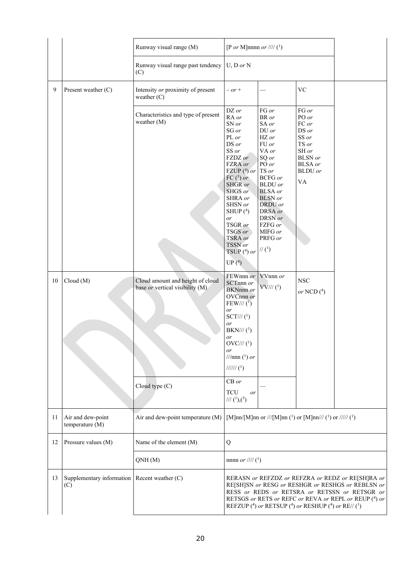|    |                                                       | Runway visual range (M)                                             | [P or M]nnnn or //// $(^1)$                                                                                                                                                                                                                                    |                                                                                                                                                                                                                                                                 |                                                                                                                                             |                                                                                                                                                                                                                  |
|----|-------------------------------------------------------|---------------------------------------------------------------------|----------------------------------------------------------------------------------------------------------------------------------------------------------------------------------------------------------------------------------------------------------------|-----------------------------------------------------------------------------------------------------------------------------------------------------------------------------------------------------------------------------------------------------------------|---------------------------------------------------------------------------------------------------------------------------------------------|------------------------------------------------------------------------------------------------------------------------------------------------------------------------------------------------------------------|
|    |                                                       | Runway visual range past tendency<br>(C)                            | $U, D \text{ or } N$                                                                                                                                                                                                                                           |                                                                                                                                                                                                                                                                 |                                                                                                                                             |                                                                                                                                                                                                                  |
| 9  | Present weather (C)                                   | Intensity or proximity of present<br>weather $(C)$                  | $- or +$                                                                                                                                                                                                                                                       |                                                                                                                                                                                                                                                                 | <b>VC</b>                                                                                                                                   |                                                                                                                                                                                                                  |
|    |                                                       | Characteristics and type of present<br>weather (M)                  | DZ or<br>RA or<br>SN or<br>SG or<br>PL or<br>DS or<br>SS or<br>FZDZ or<br>FZRA or<br>FZUP $(4)$ or<br>FC $(3)$ or<br>SHGR or<br>SHGS or<br>SHRA or<br>SHSN or<br>SHUP $(4)$<br>or<br>TSGR or<br>TSGS or<br>TSRA or<br>TSSN or<br>TSUP $(^{4})$ or<br>UP $(^4)$ | FG or<br>BR or<br>SA or<br>DU or<br>HZ or<br>FU or<br>VA or<br>SQ or<br>PO or<br>TS or<br><b>BCFG</b> or<br><b>BLDU</b> or<br><b>BLSA</b> or<br><b>BLSN</b> or<br>DRDU or<br>DRSA or<br>DRSN or<br>FZFG or<br>MIFG or<br>PRFG or<br>$\mathcal{U}\left(1\right)$ | FG or<br>PO or<br>FC or<br>DS or<br>SS or<br>TS or<br>SH or<br><b>BLSN</b> or<br><b>BLSA</b> or<br><b>BLDU</b> or<br>$\mathbf{V}\mathbf{A}$ |                                                                                                                                                                                                                  |
| 10 | Cloud(M)                                              | Cloud amount and height of cloud<br>base or vertical visibility (M) | FEWnnn or<br>SCTnnn or<br><b>BKNnnn</b> or<br>OVCnnn or<br>FEW/// $(1)$<br>or<br>$SCT\frac{1}{l}$ ( <sup>1</sup> )<br>or<br>$BKN\!/\!/\!/\,(1)$<br>or<br>$OVC\frac{1}{l}$ ( <sup>1</sup> )<br>or<br>///nnn $(^1)$ or<br>$\frac{1}{11111}$ ( <sup>1</sup> )     | VVnnn or<br>$VV\!/\!/$ $(^{1})$                                                                                                                                                                                                                                 | <b>NSC</b><br>or NCD $(4)$                                                                                                                  |                                                                                                                                                                                                                  |
|    |                                                       | Cloud type (C)                                                      | $CB$ or<br><b>TCU</b><br>or<br>/// $(1),(5)$                                                                                                                                                                                                                   |                                                                                                                                                                                                                                                                 |                                                                                                                                             |                                                                                                                                                                                                                  |
| 11 | Air and dew-point<br>temperature (M)                  | Air and dew-point temperature (M)                                   |                                                                                                                                                                                                                                                                |                                                                                                                                                                                                                                                                 | [M]nn/[M]nn or ///[M]nn (1) or [M]nn/// (1) or ///// (1)                                                                                    |                                                                                                                                                                                                                  |
| 12 | Pressure values (M)                                   | Name of the element (M)                                             | Q                                                                                                                                                                                                                                                              |                                                                                                                                                                                                                                                                 |                                                                                                                                             |                                                                                                                                                                                                                  |
|    |                                                       | QNH(M)                                                              | nnnn <i>or</i> //// $(^{1})$                                                                                                                                                                                                                                   |                                                                                                                                                                                                                                                                 |                                                                                                                                             |                                                                                                                                                                                                                  |
| 13 | Supplementary information   Recent weather (C)<br>(C) |                                                                     |                                                                                                                                                                                                                                                                |                                                                                                                                                                                                                                                                 | REFZUP (4) or RETSUP (4) or RESHUP (4) or RE// (1)                                                                                          | RERASN or REFZDZ or REFZRA or REDZ or RE[SH]RA or<br>RE[SH]SN or RESG or RESHGR or RESHGS or REBLSN or<br>RESS or REDS or RETSRA or RETSSN or RETSGR or<br>RETSGS or RETS or REFC or REVA or REPL or REUP (4) or |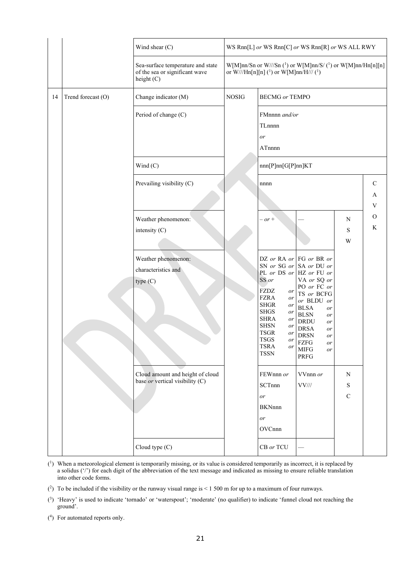|    |                    | Wind shear (C)                                                                    |              |                                                                                                                                                                                                            | WS Rnn[L] or WS Rnn[C] or WS Rnn[R] or WS ALL RWY                                                                                                                                                                                                                                             |                                 |                                               |
|----|--------------------|-----------------------------------------------------------------------------------|--------------|------------------------------------------------------------------------------------------------------------------------------------------------------------------------------------------------------------|-----------------------------------------------------------------------------------------------------------------------------------------------------------------------------------------------------------------------------------------------------------------------------------------------|---------------------------------|-----------------------------------------------|
|    |                    | Sea-surface temperature and state<br>of the sea or significant wave<br>height (C) |              | or W///Hn[n][n] ( <sup>1</sup> ) or W[M]nn/H/// ( <sup>1</sup> )                                                                                                                                           | W[M]nn/Sn or W///Sn ( <sup>1</sup> ) or W[M]nn/S/ ( <sup>1</sup> ) or W[M]nn/Hn[n][n]                                                                                                                                                                                                         |                                 |                                               |
| 14 | Trend forecast (O) | Change indicator (M)                                                              | <b>NOSIG</b> | <b>BECMG</b> or TEMPO                                                                                                                                                                                      |                                                                                                                                                                                                                                                                                               |                                 |                                               |
|    |                    | Period of change (C)                                                              |              | FMnnnn and/or<br>TLnnnn<br>or<br>ATnnnn                                                                                                                                                                    |                                                                                                                                                                                                                                                                                               |                                 |                                               |
|    |                    | Wind $(C)$                                                                        |              | nnn[P]nn[G[P]nn]KT                                                                                                                                                                                         |                                                                                                                                                                                                                                                                                               |                                 |                                               |
|    |                    | Prevailing visibility (C)                                                         |              | nnnn                                                                                                                                                                                                       |                                                                                                                                                                                                                                                                                               |                                 | $\mathbf C$<br>A<br>$\ensuremath{\mathbf{V}}$ |
|    |                    | Weather phenomenon:<br>intensity (C)                                              |              | $- or +$                                                                                                                                                                                                   |                                                                                                                                                                                                                                                                                               | $\mathbf N$<br>S<br>W           | $\mathcal{O}$<br>$\rm K$                      |
|    |                    | Weather phenomenon:<br>characteristics and<br>type (C)                            |              | SS or<br>FZDZ<br>or<br><b>FZRA</b><br>or<br><b>SHGR</b><br>or<br><b>SHGS</b><br>or<br><b>SHRA</b><br>or<br><b>SHSN</b><br>or<br><b>TSGR</b><br>or<br><b>TSGS</b><br>or<br><b>TSRA</b><br>or<br><b>TSSN</b> | DZ or RA or FG or BR or<br>SN or SG or SA or DU or<br>PL or DS or $HZ$ or FU or<br>VA or SQ or<br>PO or FC or<br>TS or BCFG<br>or BLDU or<br><b>BLSA</b><br>or<br><b>BLSN</b><br>or<br><b>DRDU</b><br>or<br><b>DRSA</b><br>or<br><b>DRSN</b><br>or<br>FZFG<br>or<br><b>MIFG</b><br>or<br>PRFG |                                 |                                               |
|    |                    | Cloud amount and height of cloud<br>base or vertical visibility (C)               |              | FEWnnn or<br>SCTnnn<br>or<br><b>BKNnnn</b><br>or<br>OVCnnn                                                                                                                                                 | VVnnn or<br>$\rm VV$ ///                                                                                                                                                                                                                                                                      | $\mathbf N$<br>S<br>$\mathbf C$ |                                               |
|    |                    | Cloud type (C)                                                                    |              | CB or TCU                                                                                                                                                                                                  |                                                                                                                                                                                                                                                                                               |                                 |                                               |

- ( 1) When a meteorological element is temporarily missing, or its value is considered temporarily as incorrect, it is replaced by a solidus ('/') for each digit of the abbreviation of the text message and indicated as missing to ensure reliable translation into other code forms.
- $(2)$  To be included if the visibility or the runway visual range is < 1 500 m for up to a maximum of four runways.
- ( 3) 'Heavy' is used to indicate 'tornado' or 'waterspout'; 'moderate' (no qualifier) to indicate 'funnel cloud not reaching the ground'.
- ( 4) For automated reports only.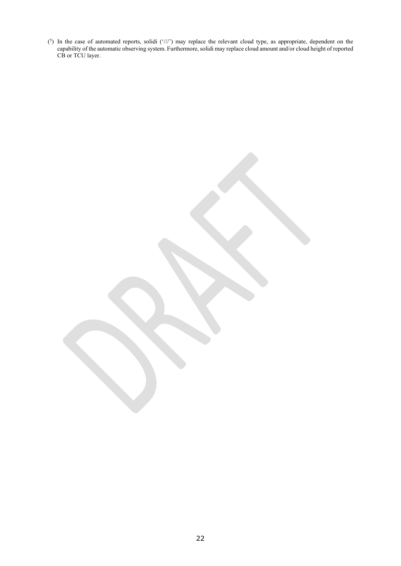$(5)$  In the case of automated reports, solidi  $('//')$  may replace the relevant cloud type, as appropriate, dependent on the capability of the automatic observing system. Furthermore, solidi may replace cloud amount and/or cloud height of reported CB or TCU layer.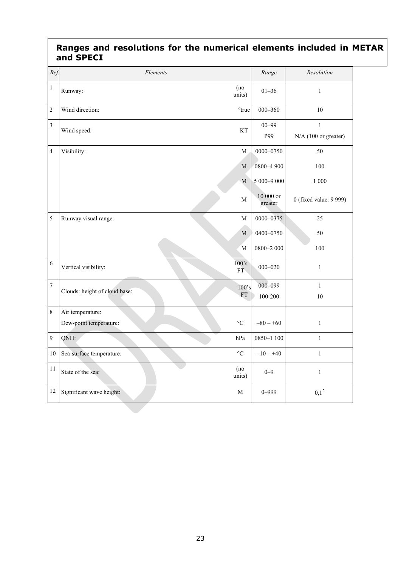# **Ranges and resolutions for the numerical elements included in METAR and SPECI**

| Ref.           | Elements                                                        | Range                | Resolution                             |
|----------------|-----------------------------------------------------------------|----------------------|----------------------------------------|
| $\,1\,$        | (no)<br>Runway:<br>units)                                       | $01 - 36$            | $1\,$                                  |
| $\overline{c}$ | Wind direction:<br>°true                                        | $000 - 360$          | 10                                     |
| $\mathfrak{Z}$ | Wind speed:<br>KT                                               | $00 - 99$<br>P99     | $\mathbf{1}$<br>$N/A$ (100 or greater) |
| $\overline{4}$ | Visibility:<br>M                                                | 0000-0750            | 50                                     |
|                | M                                                               | 0800-4 900           | 100                                    |
|                | $\overline{M}$                                                  | 5 000-9 000          | 1 000                                  |
|                | $\mathbf M$                                                     | 10 000 or<br>greater | 0 (fixed value: 9 999)                 |
| 5              | Runway visual range:<br>$\mathbf M$                             | 0000-0375            | 25                                     |
|                | M                                                               | 0400-0750            | 50                                     |
|                | M                                                               | $0800 - 2000$        | 100                                    |
| 6              | 100's<br>Vertical visibility:<br>FT.                            | $000 - 020$          | $\mathbf{1}$                           |
| $\overline{7}$ | 100's<br>Clouds: height of cloud base:                          | 000-099              | $\mathbf{1}$                           |
|                | <b>FT</b>                                                       | 100-200              | 10                                     |
| $\,8\,$        | Air temperature:<br>Dew-point temperature:<br>$^{\circ}{\rm C}$ | $-80 - +60$          | $\,1\,$                                |
| 9              | QNH:<br>hPa                                                     | 0850-1 100           | $\,1\,$                                |
| $10\,$         | $\rm ^{\circ}C$<br>Sea-surface temperature:                     | $-10 - +40$          | $\,1\,$                                |
| 11             | (no)<br>State of the sea:<br>units)                             | $0 - 9$              | $1\,$                                  |
| 12             | Significant wave height:<br>М                                   | $0 - 999$            | ${0,1}$                                |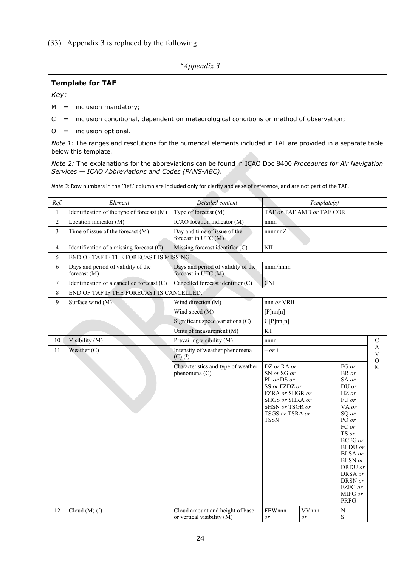## (33) Appendix 3 is replaced by the following:

# '*Appendix 3*

## **Template for TAF**

*Key:*

 $M =$  inclusion mandatory;

C = inclusion conditional, dependent on meteorological conditions or method of observation;

O = inclusion optional.

*Note 1:* The ranges and resolutions for the numerical elements included in TAF are provided in a separate table below this template.

*Note 2:* The explanations for the abbreviations can be found in ICAO Doc 8400 *Procedures for Air Navigation Services — ICAO Abbreviations and Codes (PANS-ABC)*.

*Note 3:* Row numbers in the 'Ref.' column are included only for clarity and ease of reference, and are not part of the TAF.

| Ref.           | Element                                            | Detailed content                                              |                                                                                                                                                       | Template(s)               |                                                                                                                                                                                                                                                 |                                                            |
|----------------|----------------------------------------------------|---------------------------------------------------------------|-------------------------------------------------------------------------------------------------------------------------------------------------------|---------------------------|-------------------------------------------------------------------------------------------------------------------------------------------------------------------------------------------------------------------------------------------------|------------------------------------------------------------|
| $\mathbf{1}$   | Identification of the type of forecast (M)         | Type of forecast (M)                                          |                                                                                                                                                       | TAF or TAF AMD or TAF COR |                                                                                                                                                                                                                                                 |                                                            |
| $\overline{2}$ | Location indicator (M)                             | ICAO location indicator (M)                                   | nnnn                                                                                                                                                  |                           |                                                                                                                                                                                                                                                 |                                                            |
| 3              | Time of issue of the forecast (M)                  | Day and time of issue of the<br>forecast in UTC (M)           | nnnnnnZ                                                                                                                                               |                           |                                                                                                                                                                                                                                                 |                                                            |
| 4              | Identification of a missing forecast $(C)$         | Missing forecast identifier (C)                               | <b>NIL</b>                                                                                                                                            |                           |                                                                                                                                                                                                                                                 |                                                            |
| 5              | END OF TAF IF THE FORECAST IS MISSING.             |                                                               |                                                                                                                                                       |                           |                                                                                                                                                                                                                                                 |                                                            |
| 6              | Days and period of validity of the<br>forecast (M) | Days and period of validity of the<br>forecast in UTC (M)     | nnnn/nnnn                                                                                                                                             |                           |                                                                                                                                                                                                                                                 |                                                            |
| $\tau$         | Identification of a cancelled forecast (C)         | Cancelled forecast identifier (C)                             | $\mathop{\rm CNL}$                                                                                                                                    |                           |                                                                                                                                                                                                                                                 |                                                            |
| 8              | END OF TAF IF THE FORECAST IS CANCELLED.           |                                                               |                                                                                                                                                       |                           |                                                                                                                                                                                                                                                 |                                                            |
| 9              | Surface wind (M)                                   | Wind direction (M)                                            | nnn or VRB                                                                                                                                            |                           |                                                                                                                                                                                                                                                 |                                                            |
|                |                                                    | Wind speed (M)                                                | [P]nn[n]                                                                                                                                              |                           |                                                                                                                                                                                                                                                 |                                                            |
|                |                                                    | Significant speed variations (C)                              | G[P]nn[n]                                                                                                                                             |                           |                                                                                                                                                                                                                                                 |                                                            |
|                |                                                    | Units of measurement (M)                                      | KT                                                                                                                                                    |                           |                                                                                                                                                                                                                                                 |                                                            |
| 10             | Visibility (M)                                     | Prevailing visibility (M)                                     | nnnn                                                                                                                                                  |                           |                                                                                                                                                                                                                                                 | C                                                          |
| 11             | Weather (C)                                        | Intensity of weather phenomena<br>$(C)$ $(^{1})$              | $- or +$                                                                                                                                              |                           |                                                                                                                                                                                                                                                 | $\mathbf{A}$<br>$\ensuremath{\mathbf{V}}$<br>$\mathcal{O}$ |
|                |                                                    | Characteristics and type of weather<br>phenomena (C)          | DZ or RA or<br>SN or SG or<br>PL or DS or<br>SS or FZDZ or<br>FZRA or SHGR or<br>SHGS or SHRA or<br>SHSN or TSGR or<br>TSGS or TSRA or<br><b>TSSN</b> |                           | FG or<br>BR or<br>SA or<br>$DU$ or<br>HZ or<br>FU or<br>VA or<br>SQ or<br>PO or<br>FC or<br>TS or<br><b>BCFG</b> or<br><b>BLDU</b> or<br><b>BLSA</b> or<br><b>BLSN</b> or<br>DRDU or<br>DRSA or<br>DRSN or<br>FZFG or<br>MIFG or<br><b>PRFG</b> | K                                                          |
| 12             | Cloud (M) $(2)$                                    | Cloud amount and height of base<br>or vertical visibility (M) | FEWnnn<br>or                                                                                                                                          | VVnnn<br>or               | $\mathbf N$<br>$\mathbf S$                                                                                                                                                                                                                      |                                                            |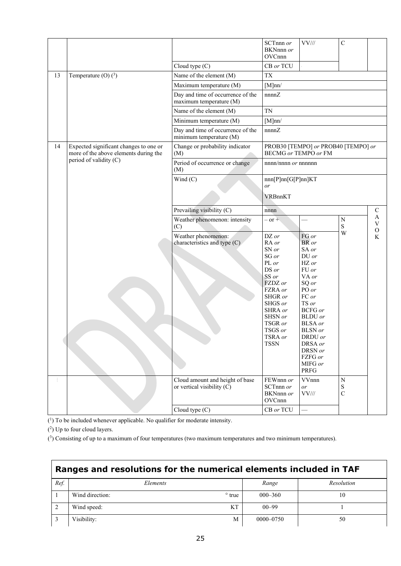|    |                                                                                 | Cloud type (C)                                                  | SCTnnn or<br>BKNnnn or<br>OVCnnn<br>CB or TCU                                                                                                                                 | $VV\frac{1}{2}$                                                                                                                                                                                                                        | $\mathbf C$                   |               |
|----|---------------------------------------------------------------------------------|-----------------------------------------------------------------|-------------------------------------------------------------------------------------------------------------------------------------------------------------------------------|----------------------------------------------------------------------------------------------------------------------------------------------------------------------------------------------------------------------------------------|-------------------------------|---------------|
| 13 | Temperature (O) $(^3)$                                                          | Name of the element (M)                                         | <b>TX</b>                                                                                                                                                                     |                                                                                                                                                                                                                                        |                               |               |
|    |                                                                                 | Maximum temperature (M)                                         | [M]nn/                                                                                                                                                                        |                                                                                                                                                                                                                                        |                               |               |
|    |                                                                                 | Day and time of occurrence of the<br>maximum temperature (M)    | nnnnZ                                                                                                                                                                         |                                                                                                                                                                                                                                        |                               |               |
|    |                                                                                 | Name of the element (M)                                         | <b>TN</b>                                                                                                                                                                     |                                                                                                                                                                                                                                        |                               |               |
|    |                                                                                 | Minimum temperature (M)                                         | [M]nn/                                                                                                                                                                        |                                                                                                                                                                                                                                        |                               |               |
|    |                                                                                 | Day and time of occurrence of the<br>minimum temperature (M)    | nnnnZ                                                                                                                                                                         |                                                                                                                                                                                                                                        |                               |               |
| 14 | Expected significant changes to one or<br>more of the above elements during the | Change or probability indicator<br>(M)                          |                                                                                                                                                                               | PROB30 [TEMPO] or PROB40 [TEMPO] or<br><b>BECMG</b> or TEMPO or FM                                                                                                                                                                     |                               |               |
|    | period of validity (C)                                                          | Period of occurrence or change<br>(M)                           | $nnnn/nnnn$ or $nnnnnn$                                                                                                                                                       |                                                                                                                                                                                                                                        |                               |               |
|    |                                                                                 | Wind $(C)$                                                      | nnn[P]nn[G[P]nn]KT<br>or                                                                                                                                                      |                                                                                                                                                                                                                                        |                               |               |
|    |                                                                                 |                                                                 | VRBnnKT                                                                                                                                                                       |                                                                                                                                                                                                                                        |                               |               |
|    |                                                                                 | Prevailing visibility (C)                                       | nnnn                                                                                                                                                                          |                                                                                                                                                                                                                                        |                               | $\mathcal{C}$ |
|    |                                                                                 | Weather phenomenon: intensity<br>(C)                            | $or +$                                                                                                                                                                        |                                                                                                                                                                                                                                        | ${\bf N}$<br>S                | A<br>V<br>O   |
|    |                                                                                 | Weather phenomenon:<br>characteristics and type (C)             | DZ or<br>RA or<br>SN or<br>SG or<br>PL or<br>DS or<br>SS or<br>FZDZ or<br>FZRA or<br>SHGR or<br>SHGS or<br>SHRA or<br>SHSN or<br>TSGR or<br>TSGS or<br>TSRA or<br><b>TSSN</b> | FG or<br>BR or<br>SA or<br>DU or<br>HZ or<br>FU or<br>VA or<br>SQ or<br>PO or<br>FC or<br>TS or<br><b>BCFG</b> or<br><b>BLDU</b> or<br><b>BLSA</b> or<br><b>BLSN</b> or<br>DRDU or<br>DRSA or<br>DRSN or<br>FZFG or<br>MIFG or<br>PRFG | W                             | K             |
|    |                                                                                 | Cloud amount and height of base<br>or vertical visibility $(C)$ | FEWnnn or<br>SCTnnn or<br>BKNnnn or<br>OVCnnn                                                                                                                                 | VVnnn<br>or<br>$\rm VV$ ///                                                                                                                                                                                                            | ${\bf N}$<br>S<br>$\mathbf C$ |               |
|    |                                                                                 | Cloud type (C)                                                  | CB or TCU                                                                                                                                                                     |                                                                                                                                                                                                                                        |                               |               |

( 1) To be included whenever applicable. No qualifier for moderate intensity.

(2) Up to four cloud layers.

( 3 ) Consisting of up to a maximum of four temperatures (two maximum temperatures and two minimum temperatures).

| Ranges and resolutions for the numerical elements included in TAF |                 |                |               |            |  |  |
|-------------------------------------------------------------------|-----------------|----------------|---------------|------------|--|--|
| Ref.                                                              | <i>Elements</i> |                | Range         | Resolution |  |  |
|                                                                   | Wind direction: | $\degree$ true | $000 - 360$   | 10         |  |  |
|                                                                   | Wind speed:     | KТ             | $00 - 99$     |            |  |  |
|                                                                   | Visibility:     | M              | $0000 - 0750$ | 50         |  |  |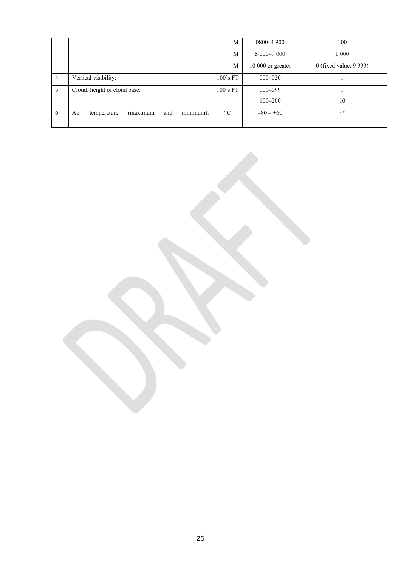|                | M                                                                     | $0800 - 4900$     | 100                    |
|----------------|-----------------------------------------------------------------------|-------------------|------------------------|
|                | M                                                                     | $5000 - 9000$     | 1 0 0 0                |
|                | М                                                                     | 10 000 or greater | 0 (fixed value: 9 999) |
| $\overline{4}$ | Vertical visibility:<br>100's FT                                      | $000 - 020$       |                        |
| 5              | Cloud: height of cloud base:<br>100's FT                              | $000 - 099$       |                        |
|                |                                                                       | $100 - 200$       | 10                     |
| 6              | minimum):<br>(maximum<br>Air<br>$\rm ^{\circ}C$<br>and<br>temperature | $-80 - +60$       |                        |
|                |                                                                       |                   |                        |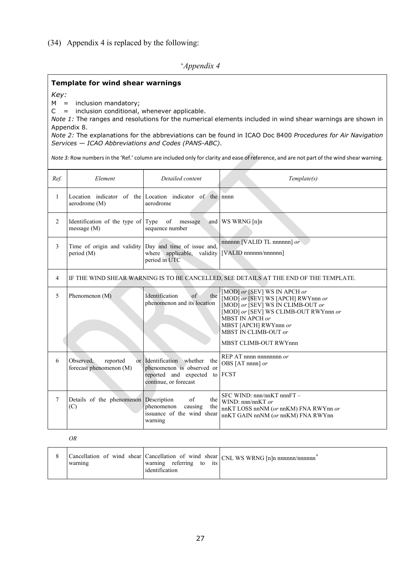# (34) Appendix 4 is replaced by the following:

# '*Appendix 4*

#### **Template for wind shear warnings**

*Key:*

 $M =$  inclusion mandatory;

 $C =$  inclusion conditional, whenever applicable.

*Note 1:* The ranges and resolutions for the numerical elements included in wind shear warnings are shown in Appendix 8.

*Note 2:* The explanations for the abbreviations can be found in ICAO Doc 8400 *Procedures for Air Navigation Services — ICAO Abbreviations and Codes (PANS-ABC)*.

*Note 3:* Row numbers in the 'Ref.' column are included only for clarity and ease of reference, and are not part of the wind shear warning.

| Ref.           | Element                                          | Detailed content                                                                                                     | Template(s)                                                                                                                                                                                                                                   |  |
|----------------|--------------------------------------------------|----------------------------------------------------------------------------------------------------------------------|-----------------------------------------------------------------------------------------------------------------------------------------------------------------------------------------------------------------------------------------------|--|
| $\mathbf{1}$   | aerodrome (M)                                    | Location indicator of the Location indicator of the nnnn<br>aerodrome                                                |                                                                                                                                                                                                                                               |  |
| 2              | Identification of the type of<br>message (M)     | Type of<br>message<br>sequence number                                                                                | and WS WRNG [n]n                                                                                                                                                                                                                              |  |
| 3              | Time of origin and validity<br>period (M)        | Day and time of issue and,<br>where applicable, validity<br>period in UTC                                            | nnnnn [VALID TL nnnnnn] or<br>[VALID nnnnnn/nnnnnn]                                                                                                                                                                                           |  |
| $\overline{4}$ |                                                  |                                                                                                                      | IF THE WIND SHEAR WARNING IS TO BE CANCELLED, SEE DETAILS AT THE END OF THE TEMPLATE.                                                                                                                                                         |  |
| 5              | Phenomenon $(M)$                                 | Identification<br>the<br>$\sigma$<br>phenomenon and its location                                                     | [MOD] or [SEV] WS IN APCH or<br>[MOD] or [SEV] WS [APCH] RWYnnn or<br>[MOD] or [SEV] WS IN CLIMB-OUT or<br>[MOD] or [SEV] WS CLIMB-OUT RWYnnn or<br>MBST IN APCH or<br>MBST [APCH] RWYnnn or<br>MBST IN CLIMB-OUT or<br>MBST CLIMB-OUT RWYnnn |  |
| 6              | Observed,<br>reported<br>forecast phenomenon (M) | or Identification whether the<br>phenomenon is observed or<br>reported and expected to FCST<br>continue, or forecast | REP AT nnnn nnnnnnnn or<br>OBS [AT nnnn] or                                                                                                                                                                                                   |  |
| 7              | Details of the phenomenon<br>(C)                 | Description<br>$\sigma$ f<br>the<br>phenomenon<br>the<br>causing<br>issuance of the wind shear<br>warning            | SFC WIND: nnn/nnKT nnnFT -<br>WIND: $nnn/nnKT$ or<br>nnKT LOSS nnNM (or nnKM) FNA RWYnn or<br>nnKT GAIN nnNM (or nnKM) FNA RWYnn                                                                                                              |  |

#### *OR*

|  | warning | referring to<br>its<br>warning<br>identification | Cancellation of wind shear Cancellation of wind shear CNL WS WRNG [n]n nnnnnn/nnnnnn <sup>2</sup> |
|--|---------|--------------------------------------------------|---------------------------------------------------------------------------------------------------|
|--|---------|--------------------------------------------------|---------------------------------------------------------------------------------------------------|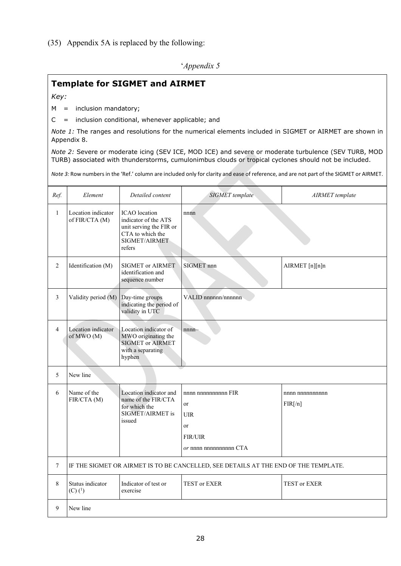(35) Appendix 5A is replaced by the following:

'*Appendix 5*

# **Template for SIGMET and AIRMET**

*Key:*

M = inclusion mandatory;

 $C =$  inclusion conditional, whenever applicable; and

*Note 1:* The ranges and resolutions for the numerical elements included in SIGMET or AIRMET are shown in Appendix 8.

*Note 2:* Severe or moderate icing (SEV ICE, MOD ICE) and severe or moderate turbulence (SEV TURB, MOD TURB) associated with thunderstorms, cumulonimbus clouds or tropical cyclones should not be included.

*Note 3:* Row numbers in the 'Ref.' column are included only for clarity and ease of reference, and are not part of the SIGMET or AIRMET.

| Ref.           | Element                                                                             | Detailed content                                                                                                       | <b>SIGMET</b> template                                                                                   | AIRMET template               |  |
|----------------|-------------------------------------------------------------------------------------|------------------------------------------------------------------------------------------------------------------------|----------------------------------------------------------------------------------------------------------|-------------------------------|--|
| $\mathbf{1}$   | Location indicator<br>of FIR/CTA (M)                                                | <b>ICAO</b> location<br>indicator of the ATS<br>unit serving the FIR or<br>CTA to which the<br>SIGMET/AIRMET<br>refers | nnnn                                                                                                     |                               |  |
| $\overline{2}$ | Identification (M)                                                                  | SIGMET or AIRMET<br>identification and<br>sequence number                                                              | SIGMET nnn                                                                                               | AIRMET [n][n]n                |  |
| 3              | Validity period (M)                                                                 | Day-time groups<br>indicating the period of<br>validity in UTC                                                         | VALID nnnnnn/nnnnnn                                                                                      |                               |  |
| $\overline{4}$ | Location indicator<br>of MWO (M)                                                    | Location indicator of<br>MWO originating the<br><b>SIGMET or AIRMET</b><br>with a separating<br>hyphen                 | $nnnn-$                                                                                                  |                               |  |
| 5              | New line                                                                            |                                                                                                                        |                                                                                                          |                               |  |
| 6              | Name of the<br>FIR/CTA (M)                                                          | Location indicator and<br>name of the FIR/CTA<br>for which the<br>SIGMET/AIRMET is<br>issued                           | nnnn nnnnnnnnnn FIR<br><sub>or</sub><br><b>UIR</b><br>or<br><b>FIR/UIR</b><br>$or$ nnnn nnnnnnnnnn $CTA$ | nnnn nnnnnnnnnn<br>$FIR[$ /n] |  |
| $\tau$         | IF THE SIGMET OR AIRMET IS TO BE CANCELLED, SEE DETAILS AT THE END OF THE TEMPLATE. |                                                                                                                        |                                                                                                          |                               |  |
| 8              | Status indicator<br>$(C)$ $(^{1})$                                                  | Indicator of test or<br>exercise                                                                                       | TEST or EXER                                                                                             | TEST or EXER                  |  |
| 9              | New line                                                                            |                                                                                                                        |                                                                                                          |                               |  |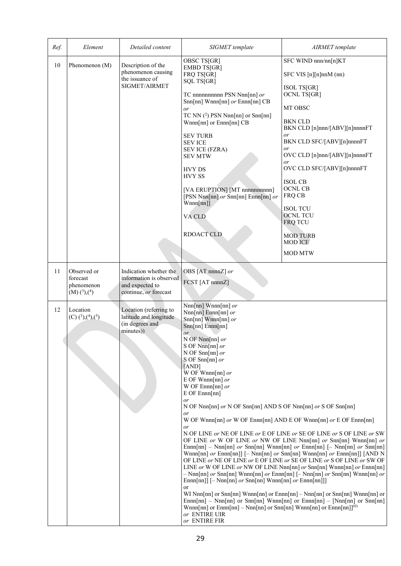| Ref.     | Element                                                                                                                          | Detailed content                                                                                                                                                                  | SIGMET template                                                                                                                                                                                                                                                                                                                                                                                                                                                                                                                                                                                                                                                                 | AIRMET template                                                                                                                                                                                                                                                                                                                                                                                                                                                                                                                                                                                                                                                                                       |
|----------|----------------------------------------------------------------------------------------------------------------------------------|-----------------------------------------------------------------------------------------------------------------------------------------------------------------------------------|---------------------------------------------------------------------------------------------------------------------------------------------------------------------------------------------------------------------------------------------------------------------------------------------------------------------------------------------------------------------------------------------------------------------------------------------------------------------------------------------------------------------------------------------------------------------------------------------------------------------------------------------------------------------------------|-------------------------------------------------------------------------------------------------------------------------------------------------------------------------------------------------------------------------------------------------------------------------------------------------------------------------------------------------------------------------------------------------------------------------------------------------------------------------------------------------------------------------------------------------------------------------------------------------------------------------------------------------------------------------------------------------------|
| 10       | Phenomenon (M)                                                                                                                   | Description of the<br>phenomenon causing<br>the issuance of<br>SIGMET/AIRMET                                                                                                      | OBSC TS[GR]<br><b>EMBD TS[GR]</b><br>FRQ TS[GR]<br>SQL TS[GR]<br>TC nnnnnnnnnn PSN Nnn[nn] or<br>Snn[nn] Wnnn[nn] or Ennn[nn] CB<br>or<br>TC NN $(^2)$ PSN Nnn[nn] or Snn[nn]<br>Wnnn[nn] or Ennn[nn] CB<br><b>SEV TURB</b><br><b>SEVICE</b><br>SEV ICE (FZRA)<br><b>SEV MTW</b><br><b>HVY DS</b><br><b>HVY SS</b><br>[VA ERUPTION] [MT nnnnnnnnnn]<br>[PSN Nnn[nn] $or$ Snn[nn] Ennn[nn] $or$<br>Wnnn[nn]<br>VA CLD<br>RDOACT CLD                                                                                                                                                                                                                                              | SFC WIND nnn/nn[n]KT<br>SFC VIS [n][n]nnM (nn)<br><b>ISOL TS[GR]</b><br><b>OCNL TS[GR]</b><br>MT OBSC<br><b>BKN CLD</b><br>BKN CLD [n]nnn/[ABV][n]nnnnFT<br>or<br>BKN CLD SFC/[ABV][n]nnnnFT<br>or<br>OVC CLD [n]nnn/[ABV][n]nnnnFT<br>or<br>OVC CLD SFC/[ABV][n]nnnnFT<br><b>ISOL CB</b><br><b>OCNL CB</b><br>FRQ CB<br><b>ISOL TCU</b><br><b>OCNL TCU</b><br><b>FRQ TCU</b><br><b>MOD TURB</b><br><b>MOD ICE</b><br><b>MOD MTW</b>                                                                                                                                                                                                                                                                  |
| 11<br>12 | Observed or<br>forecast<br>phenomenon<br>(M) <sup>(3)</sup> , <sup>(4)</sup><br>Location<br>$(C)$ $({}^3)$ , $({}^4)$ , $({}^5)$ | Indication whether the<br>information is observed<br>and expected to<br>continue, or forecast<br>Location (referring to<br>latitude and longitude<br>(in degrees and<br>minutes)) | OBS [AT nnnnZ] or<br>FCST [AT nnnnZ]<br>Nnn[nn] Wnnn[nn] or<br>$Nnn[nn]$ Ennn[nn] or<br>Snn[nn] Wnnn[nn] $or$<br>Snn[nn] Ennn[nn]<br>or<br>N OF Nnn[nn] or<br>S OF Nnn[nn] $or$<br>N OF Snn[nn] $or$<br>S OF Snn[nn] $or$<br>[AND]<br>W OF Wnnn[nn] $or$<br>E OF Wnnn[nn] $or$<br>W OF Ennn[nn] $or$<br>$E$ OF $Ennn[nn]$<br>or<br>N OF Nnn[nn] or N OF Snn[nn] AND S OF Nnn[nn] or S OF Snn[nn]<br>or<br>W OF Wnnn[nn] or W OF Ennn[nn] AND E OF Wnnn[nn] or E OF Ennn[nn]<br>or<br>$Ennn[nn]]$ $[- Nnn[nn]$ or $Snn[nn]$ Wnnn $[nn]$ or $Ennn[nn]]$<br>or<br>Wnnn[nn] or Ennn[nn] – Nnn[nn] or Snn[nn] Wnnn[nn] or Ennn[nn]] <sup>(6)</sup><br>or ENTIRE UIR<br>or ENTIRE FIR | N OF LINE or NE OF LINE or E OF LINE or SE OF LINE or S OF LINE or SW<br>OF LINE or W OF LINE or NW OF LINE Nnn[nn] or Snn[nn] Wnnn[nn] or<br>Ennn[nn] - Nnn[nn] or Snn[nn] Wnnn[nn] or Ennn[nn] [- Nnn[nn] or Snn[nn]<br>Wnnn[nn] or Ennn[nn]] [- Nnn[nn] or Snn[nn] Wnnn[nn] or Ennn[nn]] [AND N<br>OF LINE or NE OF LINE or E OF LINE or SE OF LINE or S OF LINE or SW OF<br>LINE or W OF LINE or NW OF LINE Nnn[nn] or Snn[nn] Wnnn[nn] or Ennn[nn]<br>$-$ Nnn[nn] or Snn[nn] Wnnn[nn] or Ennn[nn] [- Nnn[nn] or Snn[nn] Wnnn[nn] or<br>WI Nnn[nn] or Snn[nn] Wnnn[nn] or Ennn[nn] - Nnn[nn] or Snn[nn] Wnnn[nn] or<br>$Ennn[nn]$ – Nnn[nn] or Snn[nn] Wnnn[nn] or Ennn[nn] – [Nnn[nn] or Snn[nn] |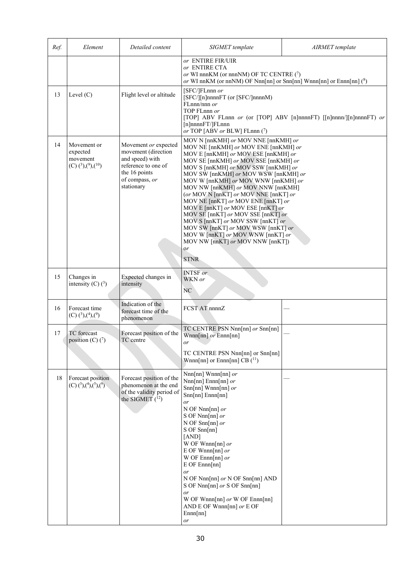| Ref. | Element                                                             | Detailed content                                                                                                                       | SIGMET template                                                                                                                                                                                                                                                                                                                                                                                                                                                                                                                                                                                                                                          | AIRMET template                                                     |
|------|---------------------------------------------------------------------|----------------------------------------------------------------------------------------------------------------------------------------|----------------------------------------------------------------------------------------------------------------------------------------------------------------------------------------------------------------------------------------------------------------------------------------------------------------------------------------------------------------------------------------------------------------------------------------------------------------------------------------------------------------------------------------------------------------------------------------------------------------------------------------------------------|---------------------------------------------------------------------|
| 13   | Level $(C)$                                                         | Flight level or altitude                                                                                                               | or ENTIRE FIR/UIR<br>or ENTIRE CTA<br>or WI nnnKM (or nnnNM) OF TC CENTRE (7)<br>or WI nnKM (or nnNM) OF Nnn[nn] or Snn[nn] Wnnn[nn] or Ennn[nn] $(^8)$<br>[SFC/]FLnnn or<br>[SFC/][n]nnnnFT (or [SFC/]nnnnM)<br>FLnnn/nnn or<br>TOP FLnnn or<br>$[n]$ nnnn $FT/$ FLnnn<br>or TOP [ABV or BLW] FLnnn $(7)$                                                                                                                                                                                                                                                                                                                                               | [TOP] ABV FLnnn or (or [TOP] ABV [n]nnnnFT) [[n]nnnn/][n]nnnnFT) or |
| 14   | Movement or<br>expected<br>movement<br>$(C)$ $(3)$ , $(9)$ , $(10)$ | Movement or expected<br>movement (direction<br>and speed) with<br>reference to one of<br>the 16 points<br>of compass, or<br>stationary | MOV N [nnKMH] or MOV NNE [nnKMH] or<br>MOV NE [nnKMH] or MOV ENE [nnKMH] or<br>MOV E [nnKMH] or MOV ESE [nnKMH] or<br>MOV SE [nnKMH] or MOV SSE [nnKMH] or<br>MOV S [nnKMH] or MOV SSW [nnKMH] or<br>MOV SW [nnKMH] or MOV WSW [nnKMH] or<br>MOV W [nnKMH] or MOV WNW [nnKMH] or<br>MOV NW [nnKMH] or MOV NNW [nnKMH]<br>(or MOV N [nnKT] or MOV NNE [nnKT] or<br>MOV NE [nnKT] or MOV ENE [nnKT] or<br>MOV E [nnKT] or MOV ESE [nnKT] or<br>MOV SE [nnKT] or MOV SSE [nnKT] or<br>MOV S [nnKT] or MOV SSW [nnKT] or<br>MOV SW [nnKT] or MOV WSW [nnKT] or<br>MOV W [nnKT] or MOV WNW [nnKT] or<br>MOV NW [nnKT] or MOV NNW [nnKT])<br>or<br><b>STNR</b> |                                                                     |
| 15   | Changes in<br>intensity (C) $(^3)$                                  | Expected changes in<br>intensity                                                                                                       | <b>INTSF</b> or<br>WKN or<br>NC                                                                                                                                                                                                                                                                                                                                                                                                                                                                                                                                                                                                                          |                                                                     |
| 16   | Forecast time<br>$(C)$ $(3)$ , $(4)$ , $(9)$                        | Indication of the<br>forecast time of the<br>phenomenon                                                                                | FCST AT nnnnZ                                                                                                                                                                                                                                                                                                                                                                                                                                                                                                                                                                                                                                            |                                                                     |
| 17   | TC forecast<br>position (C) $(7)$                                   | Forecast position of the<br>TC centre                                                                                                  | TC CENTRE PSN Nnn[nn] or Snn[nn]<br>$Wnnn[nn]$ or $Ennn[nn]$<br>or                                                                                                                                                                                                                                                                                                                                                                                                                                                                                                                                                                                       |                                                                     |
| 18   | Forecast position<br>$(C)$ (3),(4),(5),(9)                          | Forecast position of the<br>phenomenon at the end<br>of the validity period of<br>the SIGMET $(^{12})$                                 | TC CENTRE PSN Nnn[nn] or Snn[nn]<br>Wnnn[nn] or Ennn[nn] CB $(^{11})$<br>Nnn[nn] Wnnn[nn] or<br>$Nnn[nn]$ Ennn[nn] or<br>$Snn[nn] Wnnn[nn]$ or<br>$Snn[nn]$ $Ennn[nn]$<br>or<br>N OF Nnn[nn] $or$<br>S OF Nnn[nn] $or$<br>N OF Snn[nn] $or$<br>S OF Snn[nn]<br>[AND]<br>W OF Wnnn[nn] $or$<br>E OF Wnnn[nn] $or$<br>W OF Ennn[nn] $or$<br>$E$ OF $Ennn[nn]$<br>or<br>N OF Nnn[nn] $or$ N OF Snn[nn] AND<br>S OF Nnn[nn] or S OF Snn[nn]<br>or<br>W OF Wnnn[nn] or W OF Ennn[nn]<br>AND E OF Wnnn[nn] $or \to$ OF<br>Ennn[nn]<br>or                                                                                                                       |                                                                     |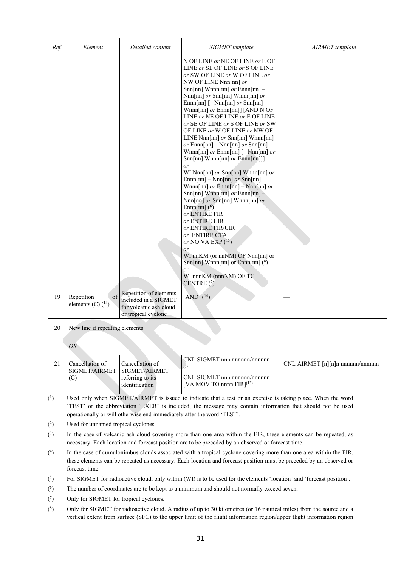| Ref. | Element                                            | Detailed content                                                                                | SIGMET template                                                                                                                                                                                                                                                                                                                                                                                                                                                                                                                                                                                                                                                                                                                                                                                                                                                                                                                                                                                                       | AIRMET template |
|------|----------------------------------------------------|-------------------------------------------------------------------------------------------------|-----------------------------------------------------------------------------------------------------------------------------------------------------------------------------------------------------------------------------------------------------------------------------------------------------------------------------------------------------------------------------------------------------------------------------------------------------------------------------------------------------------------------------------------------------------------------------------------------------------------------------------------------------------------------------------------------------------------------------------------------------------------------------------------------------------------------------------------------------------------------------------------------------------------------------------------------------------------------------------------------------------------------|-----------------|
|      |                                                    |                                                                                                 | N OF LINE or NE OF LINE or E OF<br>LINE or SE OF LINE or S OF LINE<br>or SW OF LINE or W OF LINE or<br>NW OF LINE Nnn[nn] or<br>Snn[nn] Wnnn[nn] $or$ Ennn[nn] -<br>Nnn[nn] or Snn[nn] Wnnn[nn] or<br>$Ennn[nn]$ $[- Nnn[nn]$ or $Snn[nn]$<br>Wnnn[nn] $or$ Ennn[nn]] [AND N OF<br>LINE or NE OF LINE or E OF LINE<br>or SE OF LINE or S OF LINE or SW<br>OF LINE or W OF LINE or NW OF<br>LINE Nnn[nn] $or$ Snn[nn] Wnnn[nn]<br>or Ennn $[nn]$ – Nnn $[nn]$ or Snn $[nn]$<br>Wnnn[nn] $or$ Ennn[nn] $[-$ Nnn[nn] $or$<br>$Snn[nn]$ Wnnn $[nn]$ or $Ennn[nn]]$<br>or<br>WI Nnn[nn] or Snn[nn] Wnnn[nn] or<br>$Ennn[nn] - Nnn[nn]$ or $Snn[nn]$<br>Wnnn[nn] $or$ Ennn[nn] - Nnn[nn] $or$<br>Snn[nn] Wnnn[nn] $or$ Ennn[nn] -<br>$Nnn[nn]$ or $Snn[nn]$ Wnnn[nn] or<br>Ennn $[nn]$ $(6)$<br>or ENTIRE FIR<br>or ENTIRE UIR<br>or ENTIRE FIR/UIR<br>or ENTIRE CTA<br>or NO VA EXP $(13)$<br>or<br>WI nnKM (or nnNM) OF Nnn[nn] or<br>Snn[nn] Wnnn[nn] or Ennn[nn] $(^8)$<br>or<br>WI nnnKM (nnnNM) OF TC<br>CENTRE $(7)$ |                 |
| 19   | $\sigma$ f<br>Repetition<br>elements (C) $(^{14})$ | Repetition of elements<br>included in a SIGMET<br>for volcanic ash cloud<br>or tropical cyclone | $[AND]$ $(^{14})$                                                                                                                                                                                                                                                                                                                                                                                                                                                                                                                                                                                                                                                                                                                                                                                                                                                                                                                                                                                                     |                 |
| 20   | New line if repeating elements                     |                                                                                                 |                                                                                                                                                                                                                                                                                                                                                                                                                                                                                                                                                                                                                                                                                                                                                                                                                                                                                                                                                                                                                       |                 |

*OR*

| Cancellation of<br>SIGMET/AIRMET SIGMET/AIRMET<br>(C) | Cancellation of<br>referring to its | CNL SIGMET nnn nnnnnn/nnnnnn<br>$1$ or<br>CNL SIGMET nnn nnnnnn/nnnnnn | CNL AIRMET [n][n]n nnnnnn/nnnnnn |
|-------------------------------------------------------|-------------------------------------|------------------------------------------------------------------------|----------------------------------|
|                                                       | identification                      | [VA MOV TO nnnn FIR] $^{(13)}$                                         |                                  |
|                                                       |                                     |                                                                        |                                  |

- $\overline{(^{1})}$ Used only when SIGMET/AIRMET is issued to indicate that a test or an exercise is taking place. When the word 'TEST' or the abbreviation 'EXER' is included, the message may contain information that should not be used operationally or will otherwise end immediately after the word 'TEST'.
- (2) Used for unnamed tropical cyclones.
- $(3)$ In the case of volcanic ash cloud covering more than one area within the FIR, these elements can be repeated, as necessary. Each location and forecast position are to be preceded by an observed or forecast time.
- (4) In the case of cumulonimbus clouds associated with a tropical cyclone covering more than one area within the FIR, these elements can be repeated as necessary. Each location and forecast position must be preceded by an observed or forecast time.
- $^{(5)}$ ) For SIGMET for radioactive cloud, only within (WI) is to be used for the elements 'location' and 'forecast position'.
- $(6)$  The number of coordinates are to be kept to a minimum and should not normally exceed seven.
- (7) Only for SIGMET for tropical cyclones.
- $(8)$ 8) Only for SIGMET for radioactive cloud. A radius of up to 30 kilometres (or 16 nautical miles) from the source and a vertical extent from surface (SFC) to the upper limit of the flight information region/upper flight information region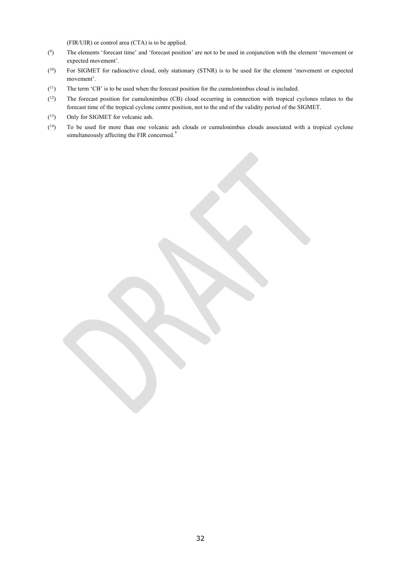(FIR/UIR) or control area (CTA) is to be applied.

- $(9)$ The elements 'forecast time' and 'forecast position' are not to be used in conjunction with the element 'movement or expected movement'.
- $(10)$  For SIGMET for radioactive cloud, only stationary (STNR) is to be used for the element 'movement or expected movement'.
- $(11)$  The term 'CB' is to be used when the forecast position for the cumulonimbus cloud is included.
- $(12)$ The forecast position for cumulonimbus (CB) cloud occurring in connection with tropical cyclones relates to the forecast time of the tropical cyclone centre position, not to the end of the validity period of the SIGMET.
- $(13)$ Only for SIGMET for volcanic ash.
- $(^{14})$ To be used for more than one volcanic ash clouds or cumulonimbus clouds associated with a tropical cyclone simultaneously affecting the FIR concerned.'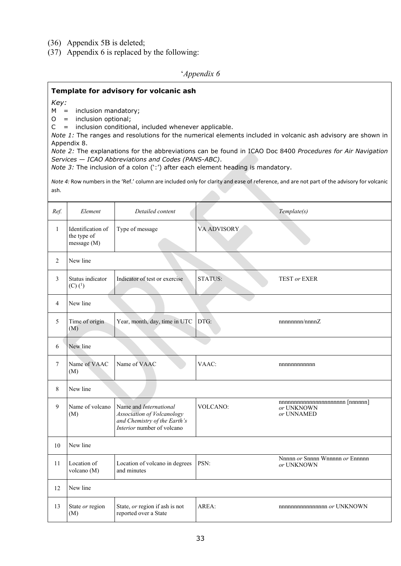- (36) Appendix 5B is deleted;
- (37) Appendix 6 is replaced by the following:

### '*Appendix 6*

### **Template for advisory for volcanic ash**

*Key:*

M = inclusion mandatory;

O = inclusion optional;

 $C =$  inclusion conditional, included whenever applicable.

*Note 1:* The ranges and resolutions for the numerical elements included in volcanic ash advisory are shown in Appendix 8.

*Note 2:* The explanations for the abbreviations can be found in ICAO Doc 8400 *Procedures for Air Navigation Services — ICAO Abbreviations and Codes (PANS-ABC)*.

*Note 3:* The inclusion of a colon (':') after each element heading is mandatory.

*Note 4:* Row numbers in the 'Ref.' column are included only for clarity and ease of reference, and are not part of the advisory for volcanic ash.

| Ref.           | Element                                         | Detailed content                                                                                                          |                | Template(s)                                                     |  |  |  |  |  |  |
|----------------|-------------------------------------------------|---------------------------------------------------------------------------------------------------------------------------|----------------|-----------------------------------------------------------------|--|--|--|--|--|--|
| $\mathbf{1}$   | Identification of<br>the type of<br>message (M) | Type of message                                                                                                           | VA ADVISORY    |                                                                 |  |  |  |  |  |  |
| 2              | New line                                        |                                                                                                                           |                |                                                                 |  |  |  |  |  |  |
| 3              | Status indicator<br>$(C)$ $(^{1})$              | Indicator of test or exercise                                                                                             | <b>STATUS:</b> | <b>TEST or EXER</b>                                             |  |  |  |  |  |  |
| $\overline{4}$ | New line                                        |                                                                                                                           |                |                                                                 |  |  |  |  |  |  |
| 5              | Time of origin<br>(M)                           | Year, month, day, time in UTC                                                                                             | DTG:           | nnnnnnn/nnnnZ                                                   |  |  |  |  |  |  |
| 6              | New line                                        |                                                                                                                           |                |                                                                 |  |  |  |  |  |  |
| $\tau$         | Name of VAAC<br>(M)                             | Name of VAAC                                                                                                              | VAAC:          | nnnnnnnnnnn                                                     |  |  |  |  |  |  |
| 8              | New line                                        |                                                                                                                           |                |                                                                 |  |  |  |  |  |  |
| 9              | Name of volcano<br>(M)                          | Name and International<br><b>Association of Volcanology</b><br>and Chemistry of the Earth's<br>Interior number of volcano | VOLCANO:       | $n$ nnnnnnnnnnnnnnnnnnnnn $[nnnnn]$<br>or UNKNOWN<br>or UNNAMED |  |  |  |  |  |  |
| 10             | New line                                        |                                                                                                                           |                |                                                                 |  |  |  |  |  |  |
| 11             | Location of<br>volcano (M)                      | Location of volcano in degrees<br>and minutes                                                                             | PSN:           | Nnnnn or Snnnn Wnnnnn or Ennnnn<br>or UNKNOWN                   |  |  |  |  |  |  |
| 12             | New line                                        |                                                                                                                           |                |                                                                 |  |  |  |  |  |  |
| 13             | State or region<br>(M)                          | State, or region if ash is not<br>reported over a State                                                                   | AREA:          | nnnnnnnnnnnnnnn or UNKNOWN                                      |  |  |  |  |  |  |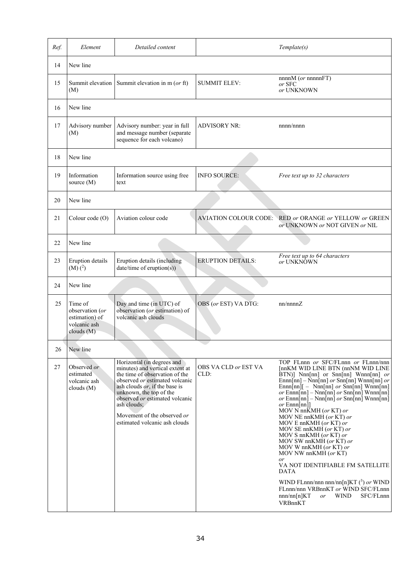| Ref. | Element                                                                   | Detailed content                                                                                                                                                                                                                                                                                                              |                              | Template(s)                                                                                                                                                                                                                                                                                                                                                                                                                                                                                                                                                                                                                                                                                                                                                                                                                                                       |
|------|---------------------------------------------------------------------------|-------------------------------------------------------------------------------------------------------------------------------------------------------------------------------------------------------------------------------------------------------------------------------------------------------------------------------|------------------------------|-------------------------------------------------------------------------------------------------------------------------------------------------------------------------------------------------------------------------------------------------------------------------------------------------------------------------------------------------------------------------------------------------------------------------------------------------------------------------------------------------------------------------------------------------------------------------------------------------------------------------------------------------------------------------------------------------------------------------------------------------------------------------------------------------------------------------------------------------------------------|
| 14   | New line                                                                  |                                                                                                                                                                                                                                                                                                                               |                              |                                                                                                                                                                                                                                                                                                                                                                                                                                                                                                                                                                                                                                                                                                                                                                                                                                                                   |
| 15   | Summit elevation<br>(M)                                                   | Summit elevation in m (or ft)                                                                                                                                                                                                                                                                                                 | <b>SUMMIT ELEV:</b>          | nnnnM (or nnnnnFT)<br>or SFC<br>or UNKNOWN                                                                                                                                                                                                                                                                                                                                                                                                                                                                                                                                                                                                                                                                                                                                                                                                                        |
| 16   | New line                                                                  |                                                                                                                                                                                                                                                                                                                               |                              |                                                                                                                                                                                                                                                                                                                                                                                                                                                                                                                                                                                                                                                                                                                                                                                                                                                                   |
| 17   | Advisory number<br>(M)                                                    | Advisory number: year in full<br>and message number (separate<br>sequence for each volcano)                                                                                                                                                                                                                                   | <b>ADVISORY NR:</b>          | nnnn/nnnn                                                                                                                                                                                                                                                                                                                                                                                                                                                                                                                                                                                                                                                                                                                                                                                                                                                         |
| 18   | New line                                                                  |                                                                                                                                                                                                                                                                                                                               |                              |                                                                                                                                                                                                                                                                                                                                                                                                                                                                                                                                                                                                                                                                                                                                                                                                                                                                   |
| 19   | Information<br>source $(M)$                                               | Information source using free<br>text                                                                                                                                                                                                                                                                                         | <b>INFO SOURCE:</b>          | Free text up to 32 characters                                                                                                                                                                                                                                                                                                                                                                                                                                                                                                                                                                                                                                                                                                                                                                                                                                     |
| 20   | New line                                                                  |                                                                                                                                                                                                                                                                                                                               |                              |                                                                                                                                                                                                                                                                                                                                                                                                                                                                                                                                                                                                                                                                                                                                                                                                                                                                   |
| 21   | Colour code (O)                                                           | Aviation colour code                                                                                                                                                                                                                                                                                                          |                              | AVIATION COLOUR CODE: RED or ORANGE or YELLOW or GREEN<br>or UNKNOWN or NOT GIVEN or NIL                                                                                                                                                                                                                                                                                                                                                                                                                                                                                                                                                                                                                                                                                                                                                                          |
| 22   | New line                                                                  |                                                                                                                                                                                                                                                                                                                               |                              |                                                                                                                                                                                                                                                                                                                                                                                                                                                                                                                                                                                                                                                                                                                                                                                                                                                                   |
| 23   | Eruption details<br>$(M)$ $(^{2})$                                        | Eruption details (including<br>date/time of eruption(s))                                                                                                                                                                                                                                                                      | <b>ERUPTION DETAILS:</b>     | Free text up to 64 characters<br>or UNKNÔWN                                                                                                                                                                                                                                                                                                                                                                                                                                                                                                                                                                                                                                                                                                                                                                                                                       |
| 24   | New line                                                                  |                                                                                                                                                                                                                                                                                                                               |                              |                                                                                                                                                                                                                                                                                                                                                                                                                                                                                                                                                                                                                                                                                                                                                                                                                                                                   |
| 25   | Time of<br>observation (or<br>estimation) of<br>volcanic ash<br>clouds(M) | Day and time (in UTC) of<br>observation (or estimation) of<br>volcanic ash clouds                                                                                                                                                                                                                                             | OBS (or EST) VA DTG:         | nn/nnnnZ                                                                                                                                                                                                                                                                                                                                                                                                                                                                                                                                                                                                                                                                                                                                                                                                                                                          |
| 26   | New line                                                                  |                                                                                                                                                                                                                                                                                                                               |                              |                                                                                                                                                                                                                                                                                                                                                                                                                                                                                                                                                                                                                                                                                                                                                                                                                                                                   |
| 27   | Observed or<br>estimated<br>volcanic ash<br>clouds $(M)$                  | Horizontal (in degrees and<br>minutes) and vertical extent at<br>the time of observation of the<br>observed <i>or</i> estimated volcanic<br>ash clouds <i>or</i> , if the base is<br>unknown, the top of the<br>observed or estimated volcanic<br>ash clouds;<br>Movement of the observed or<br>estimated volcanic ash clouds | OBS VA CLD or EST VA<br>CLD: | TOP FLnnn or SFC/FLnnn or FLnnn/nnn<br>[nnKM WID LINE BTN (nnNM WID LINE<br>$BTN$ ] Nnn[nn] or Snn[nn] Wnnn[nn] <i>or</i><br>$Ennn[nn] - Nnn[nn]$ or $Snn[nn]$ Wnnn $[nn]$ or<br>$\text{Ennn}[nn]$ – Nnn $[nn]$ or $\text{Snn}[nn]$ Wnnn $[nn]$<br>or $\text{Ennn}[nn] - \text{Nnn}[nn]$ or $\text{Snn}[nn]$ Wnnn $\text{nn}$<br>or $\text{Ennn}[nn] - \text{Nnn}[nn]$ or $\text{Snn}[nn]$ Wnnn $[nn]$<br>$or$ Ennn[nn]]<br>MOV N nn $\bar{K}$ MH (or KT) or<br>MOV NE nnKMH (or KT) or<br>MOV E nn $KMH$ (or $KT$ ) or<br>MOV SE nnKMH (or KT) or<br>MOV S nnKMH (or KT) or<br>MOV SW nnKMH (or KT) or<br>MOV W nnKMH (or KT) or<br>MOV NW nnKMH (or KT)<br>or<br>VA NOT IDENTIFIABLE FM SATELLITE<br><b>DATA</b><br>WIND FLnnn/nnn nnn/nn[n]KT $(3)$ or WIND<br>FLnnn/nnn VRBnnKT or WIND SFC/FLnnn<br>nnn/nn[n]KT<br><b>WIND</b><br>SFC/FLnnn<br>or<br>VRBnnKT |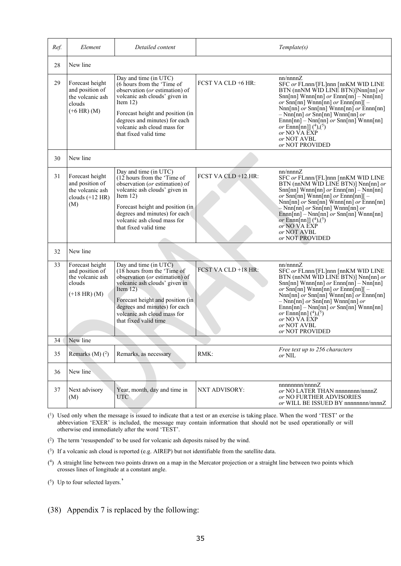| Ref. | Element                                                                                                                                                                                                                                                                                                                                                | Detailed content                                                                                                                                                                                                                                                                   |                      | Template(s)                                                                                                                                                                                                                                                                                                                                                                                                                                                   |
|------|--------------------------------------------------------------------------------------------------------------------------------------------------------------------------------------------------------------------------------------------------------------------------------------------------------------------------------------------------------|------------------------------------------------------------------------------------------------------------------------------------------------------------------------------------------------------------------------------------------------------------------------------------|----------------------|---------------------------------------------------------------------------------------------------------------------------------------------------------------------------------------------------------------------------------------------------------------------------------------------------------------------------------------------------------------------------------------------------------------------------------------------------------------|
| 28   | New line                                                                                                                                                                                                                                                                                                                                               |                                                                                                                                                                                                                                                                                    |                      |                                                                                                                                                                                                                                                                                                                                                                                                                                                               |
| 29   | Day and time (in UTC)<br>Forecast height<br>(6 hours from the 'Time of<br>and position of<br>observation (or estimation) of<br>volcanic ash clouds' given in<br>the volcanic ash<br>Item $12)$<br>clouds<br>$(+6$ HR) (M)<br>Forecast height and position (in<br>degrees and minutes) for each<br>volcanic ash cloud mass for<br>that fixed valid time |                                                                                                                                                                                                                                                                                    | FCST VA CLD +6 HR:   | nn/nnnnZ<br>SFC or FLnnn/[FL]nnn [nnKM WID LINE<br>BTN (nnNM WID LINE BTN)]Nnn[nn] or<br>$Snn[nn]$ Wnnn $[nn]$ or $Ennn[nn]$ – Nnn $[nn]$<br>or Snn[nn] Wnnn[nn] or Ennn[nn][ -<br>$\text{Nnn}[nn]$ or $\text{Snn}[nn]$ $\text{Wnnn}[nn]$ or $\text{Ennn}[nn]$<br>$-$ Nnn[nn] or Snn[nn] Wnnn[nn] or<br>$Ennn[nn] - Nnn[nn]$ or $Snn[nn]$ Wnnn[nn]<br><i>or</i> Ennn[nn]] $({}^4)$ , $({}^5)$<br>or NO VA EXP<br>or NOT AVBL<br>or NOT PROVIDED               |
| 30   | New line                                                                                                                                                                                                                                                                                                                                               |                                                                                                                                                                                                                                                                                    |                      |                                                                                                                                                                                                                                                                                                                                                                                                                                                               |
| 31   | Forecast height<br>and position of<br>the volcanic ash<br>clouds $(+12$ HR)<br>(M)                                                                                                                                                                                                                                                                     | Day and time (in UTC)<br>$(12$ hours from the 'Time of<br>observation (or estimation) of<br>volcanic ash clouds' given in<br>Item $12)$<br>Forecast height and position (in<br>degrees and minutes) for each<br>volcanic ash cloud mass for<br>that fixed valid time               | FCST VA CLD +12 HR:  | nn/nnnnZ<br>SFC or FLnnn/[FL]nnn [nnKM WID LINE<br>$BTN$ (nnNM WID LINE BTN)] Nnn[nn] or<br>$Snn[nn]$ Wnnn $[nn]$ or $Ennn[nn]$ – Nnn $[nn]$<br>or Snn[nn] Wnnn[nn] or Ennn[nn][ -<br>Nnn[nn] or Snn[nn] Wnnn[nn] or Ennn[nn]<br>$-$ Nnn[nn] or Snn[nn] Wnnn[nn] or<br>$Ennn[nn] - Nnn[nn]$ or $Snn[nn]$ Wnnn[nn]<br><i>or</i> Ennn[nn]] $(^{4})$ , $(^{5})$<br>or NO VA EXP<br>or NOT AVBL<br>or NOT PROVIDED                                                |
| 32   | New line                                                                                                                                                                                                                                                                                                                                               |                                                                                                                                                                                                                                                                                    |                      |                                                                                                                                                                                                                                                                                                                                                                                                                                                               |
| 33   | Forecast height<br>and position of<br>the volcanic ash<br>clouds<br>$(+18$ HR) (M)                                                                                                                                                                                                                                                                     | Day and time (in $UT\overline{C}$ )<br>$(18$ hours from the 'Time of<br>observation (or estimation) of<br>volcanic ash clouds' given in<br>Item $12)$<br>Forecast height and position (in<br>degrees and minutes) for each<br>volcanic ash cloud mass for<br>that fixed valid time | FCST VA CLD +18 HR:  | nn/nnnnZ<br>SFC or FLnnn/[FL]nnn [nnKM WID LINE<br>BTN (nnNM WID LINE BTN)] Nnn[nn] or<br>$Snn[nn]$ Wnnn $[nn]$ or $Ennn[nn]$ – Nnn $[nn]$<br>or Snn[nn] Wnnn[nn] or Ennn[nn][ -<br>$\text{Nnn}[nn]$ or $\text{Snn}[nn]$ $\text{Wnnn}[nn]$ or $\text{Ennn}[nn]$<br>$-$ Nnn[nn] <i>or</i> Snn[nn] Wnnn[nn] <i>or</i><br>$Ennn[nn] - Nnn[nn]$ or $Snn[nn]$ Wnnn[nn]<br><i>or</i> Ennn[nn] $({}^4)$ , $({}^5)$<br>or NO VA EXP<br>or NOT AVBL<br>or NOT PROVIDED |
| 34   | New line                                                                                                                                                                                                                                                                                                                                               |                                                                                                                                                                                                                                                                                    |                      |                                                                                                                                                                                                                                                                                                                                                                                                                                                               |
| 35   | Remarks $(M)$ $(^2)$                                                                                                                                                                                                                                                                                                                                   | Remarks, as necessary                                                                                                                                                                                                                                                              | RMK:                 | Free text up to 256 characters<br>or NIL                                                                                                                                                                                                                                                                                                                                                                                                                      |
| 36   | New line                                                                                                                                                                                                                                                                                                                                               |                                                                                                                                                                                                                                                                                    |                      |                                                                                                                                                                                                                                                                                                                                                                                                                                                               |
| 37   | Next advisory<br>(M)                                                                                                                                                                                                                                                                                                                                   | Year, month, day and time in<br><b>UTC</b>                                                                                                                                                                                                                                         | <b>NXT ADVISORY:</b> | nnnnnnn/nnnnZ<br>or NO LATER THAN nnnnnnnn/nnnnZ<br>or NO FURTHER ADVISORIES<br>or WILL BE ISSUED BY nnnnnnnn/nnnnZ                                                                                                                                                                                                                                                                                                                                           |

(1) Used only when the message is issued to indicate that a test or an exercise is taking place. When the word 'TEST' or the abbreviation 'EXER' is included, the message may contain information that should not be used operationally or will otherwise end immediately after the word 'TEST'.

( 2 ) The term 'resuspended' to be used for volcanic ash deposits raised by the wind.

( 3) If a volcanic ash cloud is reported (e.g. AIREP) but not identifiable from the satellite data.

( 4) A straight line between two points drawn on a map in the Mercator projection or a straight line between two points which crosses lines of longitude at a constant angle.

( 5) Up to four selected layers.'

(38) Appendix 7 is replaced by the following: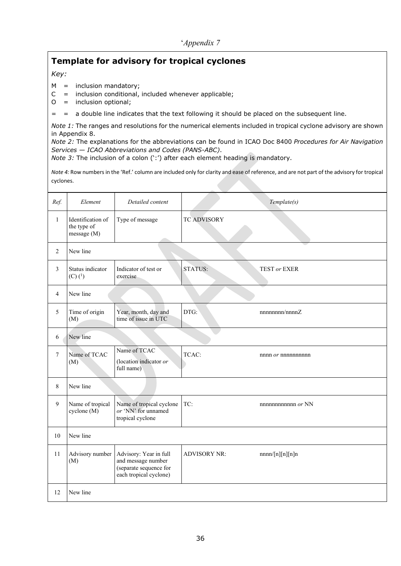# **Template for advisory for tropical cyclones**

### *Key:*

- $M =$  inclusion mandatory;
- $C =$  inclusion conditional, included whenever applicable;
- O = inclusion optional;
- = = a double line indicates that the text following it should be placed on the subsequent line.

*Note 1:* The ranges and resolutions for the numerical elements included in tropical cyclone advisory are shown in Appendix 8.

*Note 2:* The explanations for the abbreviations can be found in ICAO Doc 8400 *Procedures for Air Navigation Services — ICAO Abbreviations and Codes (PANS-ABC)*.

*Note 3:* The inclusion of a colon (':') after each element heading is mandatory.

*Note 4:* Row numbers in the 'Ref.' column are included only for clarity and ease of reference, and are not part of the advisory for tropical cyclones.

| Ref.         | Element                                         | Detailed content                                                                                 |                     | Template(s)       |
|--------------|-------------------------------------------------|--------------------------------------------------------------------------------------------------|---------------------|-------------------|
| $\mathbf{1}$ | Identification of<br>the type of<br>message (M) | Type of message                                                                                  | TC ADVISORY         |                   |
| 2            | New line                                        |                                                                                                  |                     |                   |
| 3            | Status indicator<br>$(C)$ $(^{1})$              | Indicator of test or<br>exercise                                                                 | <b>STATUS:</b>      | TEST or EXER      |
| 4            | New line                                        |                                                                                                  |                     |                   |
| 5            | Time of origin<br>(M)                           | Year, month, day and<br>time of issue in UTC                                                     | DTG:                | nnnnnnn/nnnnZ     |
| 6            | New line                                        |                                                                                                  |                     |                   |
| 7            | Name of TCAC<br>(M)                             | Name of TCAC<br>(location indicator or<br>full name)                                             | TCAC:               |                   |
| 8            | New line                                        |                                                                                                  |                     |                   |
| 9            | Name of tropical<br>cyclone $(M)$               | Name of tropical cyclone<br>or 'NN' for unnamed<br>tropical cyclone                              | TC:                 | nnnnnnnnnnn or NN |
| 10           | New line                                        |                                                                                                  |                     |                   |
| 11           | Advisory number<br>(M)                          | Advisory: Year in full<br>and message number<br>(separate sequence for<br>each tropical cyclone) | <b>ADVISORY NR:</b> | nnnn/[n][n][n]n   |
| 12           | New line                                        |                                                                                                  |                     |                   |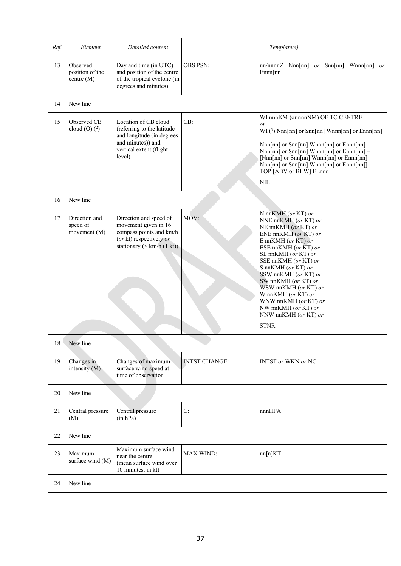| Ref. | Element                                     | Detailed content                                                                                                                          |                      | Template(s)                                                                                                                                                                                                                                                                                                                                                                                    |
|------|---------------------------------------------|-------------------------------------------------------------------------------------------------------------------------------------------|----------------------|------------------------------------------------------------------------------------------------------------------------------------------------------------------------------------------------------------------------------------------------------------------------------------------------------------------------------------------------------------------------------------------------|
| 13   | Observed<br>position of the<br>centre $(M)$ | Day and time (in UTC)<br>and position of the centre<br>of the tropical cyclone (in<br>degrees and minutes)                                | <b>OBS PSN:</b>      | nn/nnnn $Z$ Nnn $[nn]$ or Snn $[nn]$ Wnnn $[nn]$ or<br>Ennn[nn]                                                                                                                                                                                                                                                                                                                                |
| 14   | New line                                    |                                                                                                                                           |                      |                                                                                                                                                                                                                                                                                                                                                                                                |
| 15   | Observed CB<br>cloud (O) $(2)$              | Location of CB cloud<br>(referring to the latitude<br>and longitude (in degrees<br>and minutes)) and<br>vertical extent (flight<br>level) | CB:                  | WI nnnKM (or nnnNM) OF TC CENTRE<br>or<br>$WI$ (3) Nnn[nn] or Snn[nn] Wnnn[nn] or Ennn[nn]<br>$Nnn[nn]$ or $Snn[nn]$ Wnnn $[nn]$ or $Ennn[nn]$ –<br>$Nnn[nn]$ or $Snn[nn]$ Wnnn $[nn]$ or $Ennn[nn]$ –<br>[Nnn[nn] or Snn[nn] Wnnn[nn] or $E$ nnn[nn] –<br>Nnn[nn] or Snn[nn] Wnnn[nn] or Ennn[nn]]<br>TOP [ABV or BLW] FLnnn<br><b>NIL</b>                                                    |
| 16   | New line                                    |                                                                                                                                           |                      |                                                                                                                                                                                                                                                                                                                                                                                                |
| 17   | Direction and<br>speed of<br>movement (M)   | Direction and speed of<br>movement given in 16<br>compass points and km/h<br>(or kt) respectively or<br>stationary (< km/h (1 kt))        | MOV:                 | N nnKMH (or KT) or<br>NNE nnKMH (or KT) or<br>NE nnKMH (or KT) or<br>ENE nnKMH (or KT) or<br>E nnKMH (or KT) or<br>ESE nnKMH (or $\overline{KT}$ ) or<br>SE nnKMH (or KT) or<br>SSE nnKMH (or KT) or<br>S nnKMH (or KT) or<br>SSW nnKMH (or KT) or<br>SW nnKMH (or KT) or<br>WSW nnKMH (or KT) or<br>W nnKMH (or KT) or<br>WNW nnKMH (or KT) or<br>NW nnKMH (or KT) or<br>NNW nnKMH (or KT) or |
|      |                                             |                                                                                                                                           |                      | <b>STNR</b>                                                                                                                                                                                                                                                                                                                                                                                    |
| 18   | New line                                    |                                                                                                                                           |                      |                                                                                                                                                                                                                                                                                                                                                                                                |
| 19   | Changes in<br>intensity (M)                 | Changes of maximum<br>surface wind speed at<br>time of observation                                                                        | <b>INTST CHANGE:</b> | INTSF or WKN or NC                                                                                                                                                                                                                                                                                                                                                                             |
| 20   | New line                                    |                                                                                                                                           |                      |                                                                                                                                                                                                                                                                                                                                                                                                |
| 21   | Central pressure<br>(M)                     | Central pressure<br>(in hPa)                                                                                                              | C:                   | nnnHPA                                                                                                                                                                                                                                                                                                                                                                                         |
| 22   | New line                                    |                                                                                                                                           |                      |                                                                                                                                                                                                                                                                                                                                                                                                |
| 23   | Maximum<br>surface wind (M)                 | Maximum surface wind<br>near the centre<br>(mean surface wind over<br>10 minutes, in kt)                                                  | MAX WIND:            | nn[n]KT                                                                                                                                                                                                                                                                                                                                                                                        |
| 24   | New line                                    |                                                                                                                                           |                      |                                                                                                                                                                                                                                                                                                                                                                                                |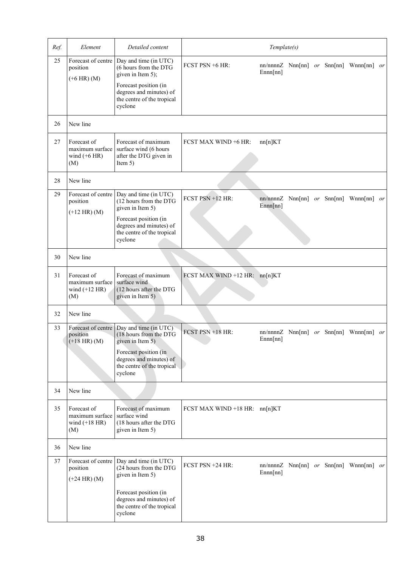| Ref. | Element                                                  | Detailed content                                                                                                                                      |                               | Template(s) |  |                                                     |  |
|------|----------------------------------------------------------|-------------------------------------------------------------------------------------------------------------------------------------------------------|-------------------------------|-------------|--|-----------------------------------------------------|--|
| 25   | Forecast of centre<br>position<br>$(+6$ HR) $(M)$        | Day and time (in UTC)<br>(6 hours from the DTG<br>given in Item 5);<br>Forecast position (in<br>degrees and minutes) of<br>the centre of the tropical | FCST PSN +6 HR:               | Ennn[nn]    |  | $nn/nnnZ$ Nnn[nn] or Snn[nn] Wnnn[nn] or            |  |
|      |                                                          | cyclone                                                                                                                                               |                               |             |  |                                                     |  |
| 26   | New line                                                 |                                                                                                                                                       |                               |             |  |                                                     |  |
| 27   | Forecast of<br>maximum surface<br>wind $(+6$ HR)<br>(M)  | Forecast of maximum<br>surface wind (6 hours<br>after the DTG given in<br>Item $5)$                                                                   | FCST MAX WIND +6 HR:          | nn[n]KT     |  |                                                     |  |
| 28   | New line                                                 |                                                                                                                                                       |                               |             |  |                                                     |  |
| 29   | Forecast of centre<br>position<br>$(+12$ HR) $(M)$       | Day and time (in UTC)<br>(12 hours from the DTG<br>given in Item 5)                                                                                   | FCST PSN +12 HR:              | Ennn[nn]    |  | nn/nnnn $Z$ Nnn $[nn]$ or Snn $[nn]$ Wnnn $[nn]$ or |  |
|      |                                                          | Forecast position (in<br>degrees and minutes) of<br>the centre of the tropical<br>cyclone                                                             |                               |             |  |                                                     |  |
| 30   | New line                                                 |                                                                                                                                                       |                               |             |  |                                                     |  |
| 31   | Forecast of<br>maximum surface<br>wind $(+12$ HR)<br>(M) | Forecast of maximum<br>surface wind<br>(12 hours after the DTG<br>given in Item 5)                                                                    | FCST MAX WIND +12 HR: nn[n]KT |             |  |                                                     |  |
| 32   | New line                                                 |                                                                                                                                                       |                               |             |  |                                                     |  |
| 33   | Forecast of centre<br>position<br>$(+18$ HR) (M)         | Day and time (in UTC)<br>(18 hours from the DTG<br>given in Item 5)                                                                                   | FCST PSN +18 HR:              | Ennn[nn]    |  | $nn/nnnnZ$ Nnn $[nn]$ or Snn $[nn]$ Wnnn $[nn]$ or  |  |
|      |                                                          | Forecast position (in<br>degrees and minutes) of<br>the centre of the tropical<br>cyclone                                                             |                               |             |  |                                                     |  |
| 34   | New line                                                 |                                                                                                                                                       |                               |             |  |                                                     |  |
| 35   | Forecast of<br>maximum surface<br>wind $(+18$ HR)<br>(M) | Forecast of maximum<br>surface wind<br>(18 hours after the DTG<br>given in Item 5)                                                                    | FCST MAX WIND +18 HR: nn[n]KT |             |  |                                                     |  |
| 36   | New line                                                 |                                                                                                                                                       |                               |             |  |                                                     |  |
| 37   | Forecast of centre<br>position<br>$(+24$ HR) (M)         | Day and time (in UTC)<br>(24 hours from the DTG<br>given in Item 5)                                                                                   | FCST PSN +24 HR:              | Ennn[nn]    |  | nn/nnnn $Z$ Nnn $[nn]$ or Snn $[nn]$ Wnnn $[nn]$ or |  |
|      |                                                          | Forecast position (in<br>degrees and minutes) of<br>the centre of the tropical<br>cyclone                                                             |                               |             |  |                                                     |  |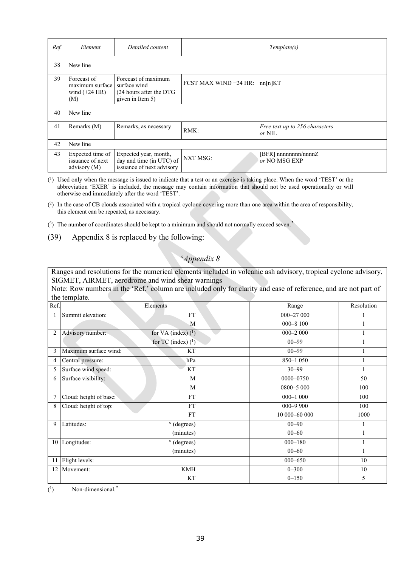| Ref. | Element                                                  | Detailed content                                                                     |                                 | Template(s)                                |  |  |
|------|----------------------------------------------------------|--------------------------------------------------------------------------------------|---------------------------------|--------------------------------------------|--|--|
| 38   | New line                                                 |                                                                                      |                                 |                                            |  |  |
| 39   | Forecast of<br>maximum surface<br>wind $(+24$ HR)<br>(M) | Forecast of maximum<br>surface wind<br>$(24$ hours after the DTG<br>given in Item 5) | FCST MAX WIND $+24$ HR: nn[n]KT |                                            |  |  |
| 40   | New line                                                 |                                                                                      |                                 |                                            |  |  |
| 41   | Remarks (M)                                              | Remarks, as necessary                                                                | RMK:                            | Free text up to 256 characters<br>or NIL   |  |  |
| 42   | New line                                                 |                                                                                      |                                 |                                            |  |  |
| 43   | Expected time of<br>issuance of next<br>advisory (M)     | Expected year, month,<br>day and time (in UTC) of<br>issuance of next advisory       | <b>NXT MSG:</b>                 | $[BFR]$ nnnnnnnn/nnnn $Z$<br>or NO MSG EXP |  |  |

( 1) Used only when the message is issued to indicate that a test or an exercise is taking place. When the word 'TEST' or the abbreviation 'EXER' is included, the message may contain information that should not be used operationally or will otherwise end immediately after the word 'TEST'.

 $(2)$  In the case of CB clouds associated with a tropical cyclone covering more than one area within the area of responsibility, this element can be repeated, as necessary.

 $(3)$  The number of coordinates should be kept to a minimum and should not normally exceed seven.'

(39) Appendix 8 is replaced by the following:

### '*Appendix 8*

Ranges and resolutions for the numerical elements included in volcanic ash advisory, tropical cyclone advisory, SIGMET, AIRMET, aerodrome and wind shear warnings

Note: Row numbers in the 'Ref.' column are included only for clarity and ease of reference, and are not part of the template.

| Ref.           |                        | Elements              | Range         | Resolution |
|----------------|------------------------|-----------------------|---------------|------------|
|                | Summit elevation:      | <b>FT</b>             | 000-27 000    |            |
|                |                        | M                     | $000 - 8100$  |            |
| $\overline{2}$ | Advisory number:       | for VA (index) $(1)$  | $000 - 2000$  |            |
|                |                        | for TC (index) $(^1)$ | $00 - 99$     |            |
| 3              | Maximum surface wind:  | KT                    | $00 - 99$     |            |
| 4              | Central pressure:      | hPa                   | 850-1 050     |            |
| 5              | Surface wind speed:    | KT                    | $30 - 99$     |            |
| 6              | Surface visibility:    | M                     | 0000-0750     | 50         |
|                |                        | M                     | 0800-5 000    | 100        |
|                | Cloud: height of base: | <b>FT</b>             | $000 - 1000$  | 100        |
| 8              | Cloud: height of top:  | <b>FT</b>             | $000 - 9900$  | 100        |
|                |                        | <b>FT</b>             | 10 000-60 000 | 1000       |
| 9              | Latitudes:             | $\circ$ (degrees)     | $00 - 90$     |            |
|                |                        | (minutes)             | $00 - 60$     |            |
|                | 10 Longitudes:         | $\circ$ (degrees)     | $000 - 180$   |            |
|                |                        | (minutes)             | $00 - 60$     |            |
| 11             | Flight levels:         |                       | $000 - 650$   | 10         |
| 12             | Movement:              | <b>KMH</b>            | $0 - 300$     | 10         |
|                |                        | KT                    | $0 - 150$     | 5          |

 $(1)$ Non-dimensional.'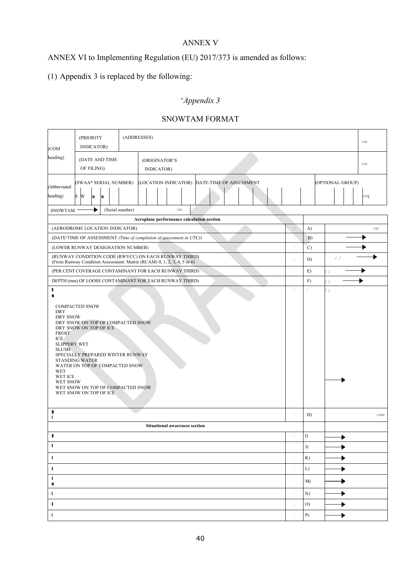## ANNEX V

# ANNEX VI to Implementing Regulation (EU) 2017/373 is amended as follows:

# (1) Appendix 3 is replaced by the following:

# '*Appendix 3*

| (COM                                                                                                                                                                                                                                                                                                                                            | (ADDRESSES)<br>(PRIORITY<br>INDICATOR) |        |    |                                                                                           |  |            |                                      |                                              |    | $<\equiv$     |                  |                      |
|-------------------------------------------------------------------------------------------------------------------------------------------------------------------------------------------------------------------------------------------------------------------------------------------------------------------------------------------------|----------------------------------------|--------|----|-------------------------------------------------------------------------------------------|--|------------|--------------------------------------|----------------------------------------------|----|---------------|------------------|----------------------|
| heading)<br>(DATE AND TIME<br>(ORIGINATOR'S<br>OF FILING)<br>INDICATOR)                                                                                                                                                                                                                                                                         |                                        |        |    |                                                                                           |  | $< \equiv$ |                                      |                                              |    |               |                  |                      |
| (Abbreviated<br>heading)                                                                                                                                                                                                                                                                                                                        | S W                                    | $\ast$ | l∗ | (SWAA* SERIAL NUMBER)                                                                     |  |            |                                      | (LOCATION INDICATOR) DATE-TIME OF ASSESSMENT |    |               | (OPTIONAL GROUP) | <≡(                  |
| <b>SNOWTAM</b>                                                                                                                                                                                                                                                                                                                                  |                                        |        |    | (Serial number)                                                                           |  |            | $\Leftarrow$                         |                                              |    |               |                  |                      |
|                                                                                                                                                                                                                                                                                                                                                 |                                        |        |    |                                                                                           |  |            |                                      | Aeroplane performance calculation section    |    |               |                  |                      |
|                                                                                                                                                                                                                                                                                                                                                 |                                        |        |    | (AERODROME LOCATION INDICATOR)                                                            |  |            |                                      |                                              |    | A)            |                  | $\leq$               |
|                                                                                                                                                                                                                                                                                                                                                 |                                        |        |    | (DATE/TIME OF ASSESSMENT (Time of completion of assessment in UTC))                       |  |            |                                      |                                              |    | B)            |                  |                      |
|                                                                                                                                                                                                                                                                                                                                                 |                                        |        |    | (LOWER RUNWAY DESIGNATION NUMBER)<br>(RUNWAY CONDITION CODE (RWYCC) ON EACH RUNWAY THIRD) |  |            |                                      |                                              | т  | $\mathcal{C}$ |                  |                      |
|                                                                                                                                                                                                                                                                                                                                                 |                                        |        |    | (From Runway Condition Assessment Matrix (RCAM) 0, 1, 2, 3, 4, 5 or 6)                    |  |            |                                      |                                              | т  | D)            | $\frac{1}{2}$    |                      |
|                                                                                                                                                                                                                                                                                                                                                 |                                        |        |    | (PER CENT COVERAGE CONTAMINANT FOR EACH RUNWAY THIRD)                                     |  |            |                                      |                                              | T. | E)            |                  |                      |
| ı                                                                                                                                                                                                                                                                                                                                               |                                        |        |    | DEPTH (mm) OF LOOSE CONTAMINANT FOR EACH RUNWAY THIRD)                                    |  |            |                                      |                                              | т  | F)            | $\frac{1}{2}$    |                      |
| <b>DRY SNOW</b><br>DRY SNOW ON TOP OF COMPACTED SNOW<br>DRY SNOW ON TOP OF ICE<br><b>FROST</b><br>ICE<br><b>SLIPPERY WET</b><br><b>SLUSH</b><br>SPECIALLY PREPARED WINTER RUNWAY<br><b>STANDING WATER</b><br>WATER ON TOP OF COMPACTED SNOW<br>WET<br>WET ICE<br><b>WET SNOW</b><br>WET SNOW ON TOP OF COMPACTED SNOW<br>WET SNOW ON TOP OF ICE |                                        |        |    |                                                                                           |  |            |                                      |                                              |    |               |                  |                      |
| B<br>L                                                                                                                                                                                                                                                                                                                                          |                                        |        |    |                                                                                           |  |            | <b>Situational awareness section</b> |                                              |    | H             |                  | $\leq \equiv \equiv$ |
| л                                                                                                                                                                                                                                                                                                                                               |                                        |        |    |                                                                                           |  |            |                                      |                                              |    | I)            |                  |                      |
| л                                                                                                                                                                                                                                                                                                                                               |                                        |        |    |                                                                                           |  |            |                                      |                                              |    | J)            |                  |                      |
| J.                                                                                                                                                                                                                                                                                                                                              |                                        |        |    |                                                                                           |  |            |                                      |                                              |    | K)            |                  |                      |
| ÷                                                                                                                                                                                                                                                                                                                                               |                                        |        |    |                                                                                           |  |            |                                      |                                              |    | L)            |                  |                      |
| п                                                                                                                                                                                                                                                                                                                                               |                                        |        |    |                                                                                           |  |            |                                      |                                              |    | M             |                  |                      |
| ü<br>T                                                                                                                                                                                                                                                                                                                                          |                                        |        |    |                                                                                           |  |            |                                      |                                              |    | N)            |                  |                      |
| I.                                                                                                                                                                                                                                                                                                                                              |                                        |        |    |                                                                                           |  |            |                                      |                                              |    | O)            |                  |                      |
| -1                                                                                                                                                                                                                                                                                                                                              |                                        |        |    |                                                                                           |  |            |                                      |                                              |    | P)            |                  |                      |

# SNOWTAM FORMAT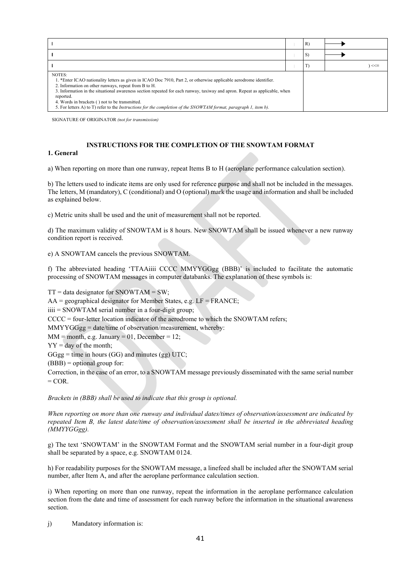|                                                                                                                                                                                                                                                                                                                                                                                                                                                                                                                  |  | R) |            |
|------------------------------------------------------------------------------------------------------------------------------------------------------------------------------------------------------------------------------------------------------------------------------------------------------------------------------------------------------------------------------------------------------------------------------------------------------------------------------------------------------------------|--|----|------------|
|                                                                                                                                                                                                                                                                                                                                                                                                                                                                                                                  |  | S) |            |
|                                                                                                                                                                                                                                                                                                                                                                                                                                                                                                                  |  | T  | $<<\equiv$ |
| NOTES:<br>1. *Enter ICAO nationality letters as given in ICAO Doc 7910, Part 2, or otherwise applicable aerodrome identifier.<br>2. Information on other runways, repeat from B to H.<br>3. Information in the situational awareness section repeated for each runway, taxiway and apron. Repeat as applicable, when<br>reported.<br>4. Words in brackets () not to be transmitted.<br>5. For letters A) to T) refer to the <i>Instructions for the completion of the SNOWTAM format, paragraph 1, item b)</i> . |  |    |            |

SIGNATURE OF ORIGINATOR *(not for transmission)*

#### **INSTRUCTIONS FOR THE COMPLETION OF THE SNOWTAM FORMAT**

#### **1. General**

a) When reporting on more than one runway, repeat Items B to H (aeroplane performance calculation section).

b) The letters used to indicate items are only used for reference purpose and shall not be included in the messages. The letters, M (mandatory), C (conditional) and O (optional) mark the usage and information and shall be included as explained below.

c) Metric units shall be used and the unit of measurement shall not be reported.

d) The maximum validity of SNOWTAM is 8 hours. New SNOWTAM shall be issued whenever a new runway condition report is received.

e) A SNOWTAM cancels the previous SNOWTAM.

f) The abbreviated heading 'TTAAiiii CCCC MMYYGGgg (BBB)' is included to facilitate the automatic processing of SNOWTAM messages in computer databanks. The explanation of these symbols is:

 $TT = data$  designator for SNOWTAM = SW; AA = geographical designator for Member States, e.g. LF = FRANCE; iiii = SNOWTAM serial number in a four-digit group; CCCC = four-letter location indicator of the aerodrome to which the SNOWTAM refers; MMYYGGgg = date/time of observation/measurement, whereby:  $MM = month, e.g. January = 01, December = 12;$  $YY = day of the month;$  $GGgg =$  time in hours (GG) and minutes (gg) UTC;  $(BBB)$  = optional group for: Correction, in the case of an error, to a SNOWTAM message previously disseminated with the same serial number  $=$  COR.

*Brackets in (BBB) shall be used to indicate that this group is optional.*

*When reporting on more than one runway and individual dates/times of observation/assessment are indicated by repeated Item B, the latest date/time of observation/assessment shall be inserted in the abbreviated heading (MMYYGGgg).*

g) The text 'SNOWTAM' in the SNOWTAM Format and the SNOWTAM serial number in a four-digit group shall be separated by a space, e.g. SNOWTAM 0124.

h) For readability purposes for the SNOWTAM message, a linefeed shall be included after the SNOWTAM serial number, after Item A, and after the aeroplane performance calculation section.

i) When reporting on more than one runway, repeat the information in the aeroplane performance calculation section from the date and time of assessment for each runway before the information in the situational awareness section.

j) Mandatory information is: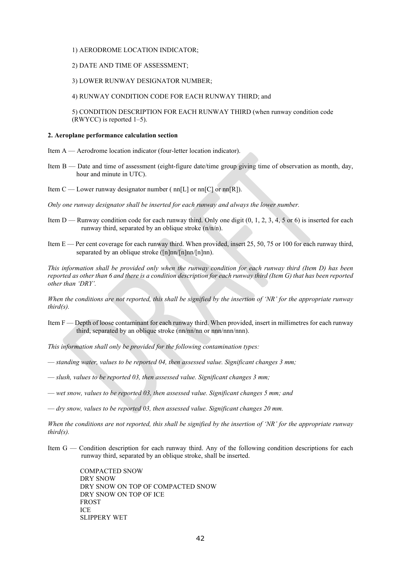#### 1) AERODROME LOCATION INDICATOR;

#### 2) DATE AND TIME OF ASSESSMENT;

#### 3) LOWER RUNWAY DESIGNATOR NUMBER;

4) RUNWAY CONDITION CODE FOR EACH RUNWAY THIRD; and

5) CONDITION DESCRIPTION FOR EACH RUNWAY THIRD (when runway condition code  $(RWYCC)$  is reported 1–5).

#### **2. Aeroplane performance calculation section**

- Item A Aerodrome location indicator (four-letter location indicator).
- Item B Date and time of assessment (eight-figure date/time group giving time of observation as month, day, hour and minute in UTC).
- Item C Lower runway designator number ( $nn[L]$  or  $nn[C]$  or  $nn[R]$ ).
- *Only one runway designator shall be inserted for each runway and always the lower number.*
- Item D Runway condition code for each runway third. Only one digit  $(0, 1, 2, 3, 4, 5)$  or 6) is inserted for each runway third, separated by an oblique stroke (n/n/n).
- Item E Per cent coverage for each runway third. When provided, insert 25, 50, 75 or 100 for each runway third, separated by an oblique stroke  $(\lceil n \rceil n \lceil n \rceil n \lceil n \rceil n)$ .

*This information shall be provided only when the runway condition for each runway third (Item D) has been reported as other than 6 and there is a condition description for each runway third (Item G) that has been reported other than 'DRY'.*

*When the conditions are not reported, this shall be signified by the insertion of 'NR' for the appropriate runway third(s).*

Item F — Depth of loose contaminant for each runway third. When provided, insert in millimetres for each runway third, separated by an oblique stroke (nn/nn/nn or nnn/nnn/nnn).

*This information shall only be provided for the following contamination types:*

- *standing water, values to be reported 04, then assessed value. Significant changes 3 mm;*
- *slush, values to be reported 03, then assessed value. Significant changes 3 mm;*
- *wet snow, values to be reported 03, then assessed value. Significant changes 5 mm; and*
- *dry snow, values to be reported 03, then assessed value. Significant changes 20 mm.*

*When the conditions are not reported, this shall be signified by the insertion of 'NR' for the appropriate runway third(s).*

Item G — Condition description for each runway third. Any of the following condition descriptions for each runway third, separated by an oblique stroke, shall be inserted.

> COMPACTED SNOW DRY SNOW DRY SNOW ON TOP OF COMPACTED SNOW DRY SNOW ON TOP OF ICE FROST ICE SLIPPERY WET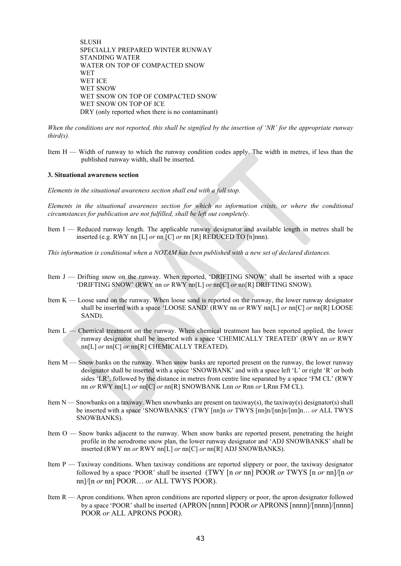**SLUSH** SPECIALLY PREPARED WINTER RUNWAY STANDING WATER WATER ON TOP OF COMPACTED SNOW WET WET ICE WET SNOW WET SNOW ON TOP OF COMPACTED SNOW WET SNOW ON TOP OF ICE DRY (only reported when there is no contaminant)

*When the conditions are not reported, this shall be signified by the insertion of 'NR' for the appropriate runway third(s).*

Item  $H - W<sub>i</sub>$  width of runway to which the runway condition codes apply. The width in metres, if less than the published runway width, shall be inserted.

#### **3. Situational awareness section**

*Elements in the situational awareness section shall end with a full stop.*

*Elements in the situational awareness section for which no information exists, or where the conditional circumstances for publication are not fulfilled, shall be left out completely.*

- Item I Reduced runway length. The applicable runway designator and available length in metres shall be inserted (e.g. RWY nn [L] *or* nn [C] *or* nn [R] REDUCED TO [n]nnn).
- *This information is conditional when a NOTAM has been published with a new set of declared distances.*
- Item J Drifting snow on the runway. When reported, 'DRIFTING SNOW' shall be inserted with a space 'DRIFTING SNOW' (RWY nn *or* RWY nn[L] *or* nn[C] *or* nn[R] DRIFTING SNOW).
- Item K Loose sand on the runway. When loose sand is reported on the runway, the lower runway designator shall be inserted with a space 'LOOSE SAND' (RWY nn *or* RWY nn[L] *or* nn[C] *or* nn[R] LOOSE SAND).
- Item L Chemical treatment on the runway. When chemical treatment has been reported applied, the lower runway designator shall be inserted with a space 'CHEMICALLY TREATED' (RWY nn *or* RWY nn[L] *or* nn[C] *or* nn[R] CHEMICALLY TREATED).
- Item M Snow banks on the runway. When snow banks are reported present on the runway, the lower runway designator shall be inserted with a space 'SNOWBANK' and with a space left 'L' or right 'R' or both sides 'LR', followed by the distance in metres from centre line separated by a space 'FM CL' (RWY nn *or* RWY nn[L] *or* nn[C] *or* nn[R] SNOWBANK Lnn *or* Rnn *or* LRnn FM CL).
- Item N Snowbanks on a taxiway. When snowbanks are present on taxiway(s), the taxiway(s) designator(s) shall be inserted with a space 'SNOWBANKS' (TWY [nn]n *or* TWYS [nn]n/[nn]n/[nn]n… *or* ALL TWYS SNOWBANKS).
- Item O Snow banks adjacent to the runway. When snow banks are reported present, penetrating the height profile in the aerodrome snow plan, the lower runway designator and 'ADJ SNOWBANKS' shall be inserted (RWY nn *or* RWY nn[L] *or* nn[C] *or* nn[R] ADJ SNOWBANKS).
- Item P Taxiway conditions. When taxiway conditions are reported slippery or poor, the taxiway designator followed by a space 'POOR' shall be inserted (TWY [n *or* nn] POOR *or* TWYS [n *or* nn]/[n *or* nn]/[n *or* nn] POOR… *or* ALL TWYS POOR).
- Item R Apron conditions. When apron conditions are reported slippery or poor, the apron designator followed by a space 'POOR' shall be inserted (APRON [nnnn] POOR *or* APRONS [nnnn]/[nnnn]/[nnnn] POOR *or* ALL APRONS POOR).